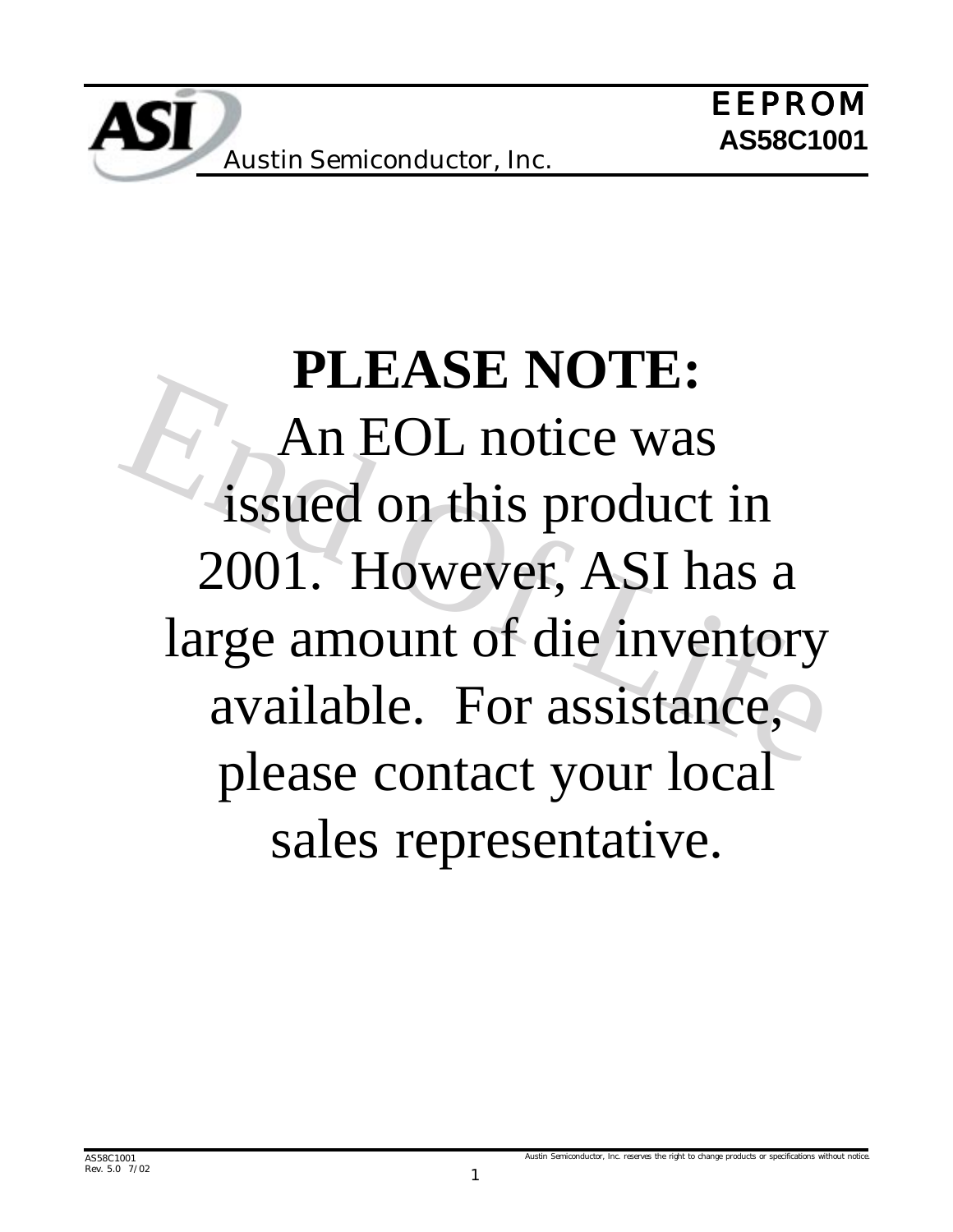# An EOL notice was<br>issued on this product in<br>2001. However, ASI has a<br>large amount of die inventory<br>available. For assistance, **PLEASE NOTE:** An EOL notice was issued on this product in 2001. However, ASI has a large amount of die inventory available. For assistance, please contact your local sales representative.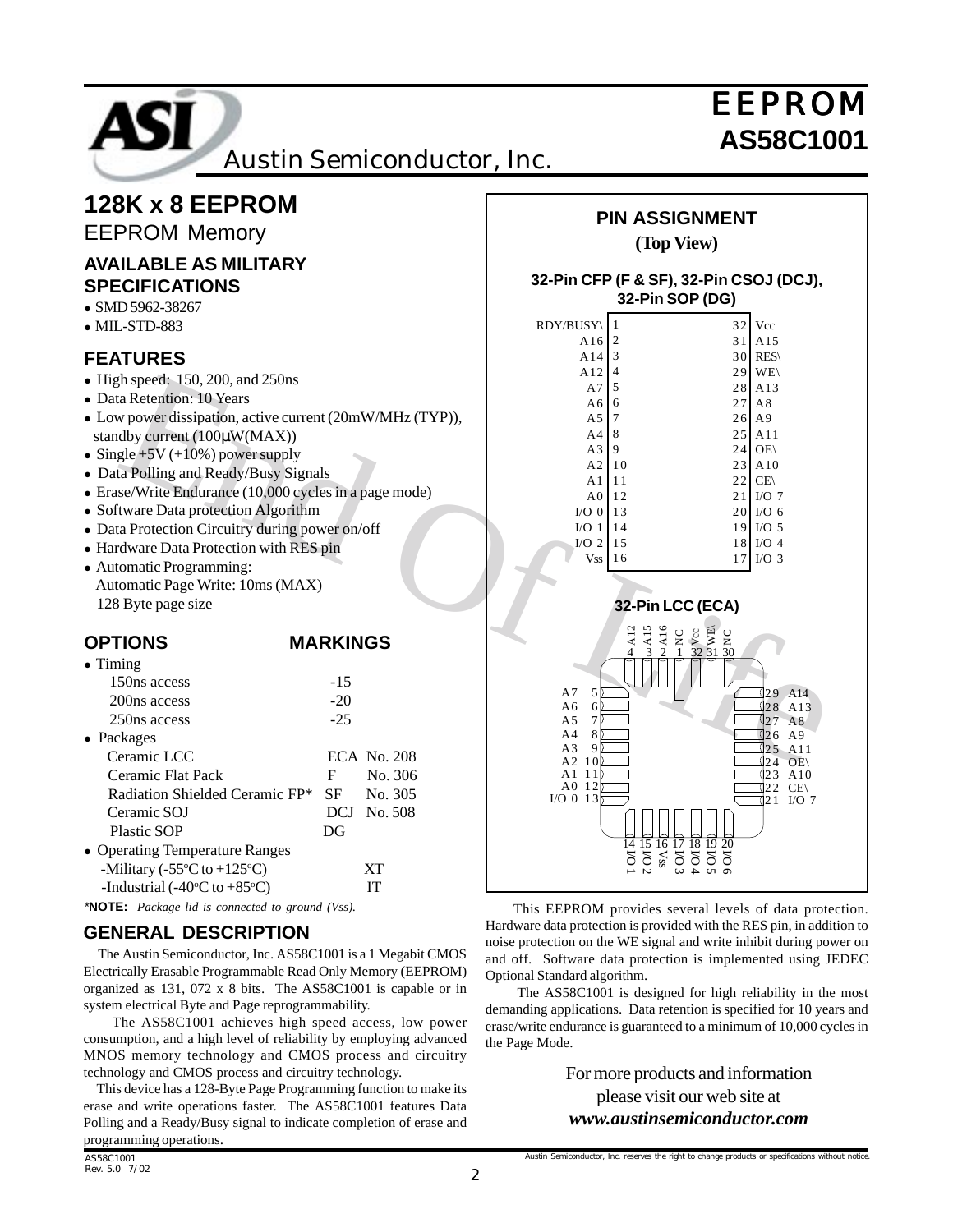

**128K x 8 EEPROM**

# EEPROM

#### the Retarbion: 10 Years and 250ns<br>
in Retarbion active current (20mW/MHz (TYP)),<br>
May power dissipation, active current (20mW/MHz (TYP)),<br>
May power clings (10,000 cycles in a page mode)<br>
and a Pole in the Spin and Ready/ EEPROM Memory **AVAILABLE AS MILITARY SPECIFICATIONS** • SMD 5962-38267  $\bullet$  MIL-STD-883 **FEATURES**  $\bullet$  High speed: 150, 200, and 250ns • Data Retention: 10 Years ! Low power dissipation, active current (20mW/MHz (TYP)), standby current (100µW(MAX))  $\bullet$  Single +5V (+10%) power supply • Data Polling and Ready/Busy Signals • Erase/Write Endurance (10,000 cycles in a page mode) • Software Data protection Algorithm • Data Protection Circuitry during power on/off ! Hardware Data Protection with RES pin • Automatic Programming: Automatic Page Write: 10ms (MAX) 128 Byte page size **OPTIONS MARKINGS**  $\bullet$  Timing 150ns access -15  $200ns$  access  $-20$  $250ns access$   $-25$ • Packages Ceramic LCC ECA No. 208 Ceramic Flat Pack F No. 306 Radiation Shielded Ceramic FP\* SF No. 305 Ceramic SOJ DCJ No. 508 Plastic SOP DG • Operating Temperature Ranges -Military (-55 $\rm ^{\circ}C$  to +125 $\rm ^{\circ}$ C) XT -Industrial (-40 $\degree$ C to +85 $\degree$ C) IT  $\overline{R}$

*\****NOTE:** *Package lid is connected to ground (Vss).*

### **GENERAL DESCRIPTION**

 The Austin Semiconductor, Inc. AS58C1001 is a 1 Megabit CMOS Electrically Erasable Programmable Read Only Memory (EEPROM) organized as 131, 072 x 8 bits. The AS58C1001 is capable or in system electrical Byte and Page reprogrammability.

 The AS58C1001 achieves high speed access, low power consumption, and a high level of reliability by employing advanced MNOS memory technology and CMOS process and circuitry technology and CMOS process and circuitry technology.

 This device has a 128-Byte Page Programming function to make its erase and write operations faster. The AS58C1001 features Data Polling and a Ready/Busy signal to indicate completion of erase and programming operations.

#### **32-Pin CFP (F & SF), 32-Pin CSOJ (DCJ), 32-Pin SOP (DG)**

| DY/BUSY          | 1  | 32 | Vcc              |
|------------------|----|----|------------------|
| A16              | 2  | 31 | A15              |
| A14              | 3  | 30 | <b>RES\</b>      |
| A12              | 4  | 29 | WE               |
| A7               | 5  | 28 | A13              |
| A6               | 6  | 27 | A8               |
| A <sub>5</sub>   | 7  | 26 | A <sub>9</sub>   |
| A <sub>4</sub>   | 8  | 25 | A11              |
| A <sub>3</sub>   | 9  | 24 | OE\              |
| A <sub>2</sub>   | 10 | 23 | A10              |
| A <sub>1</sub>   | 11 | 22 | CE               |
| A <sub>0</sub>   | 12 | 21 | $I/O$ 7          |
| $I/O$ 0          | 13 | 20 | I/O <sub>6</sub> |
| I/O <sub>1</sub> | 14 | 19 | $I/O$ 5          |
| $I/O$ 2          | 15 | 18 | $I/O$ 4          |
| Vss              | 16 | 17 | $I/O$ 3          |
|                  |    |    |                  |



 This EEPROM provides several levels of data protection. Hardware data protection is provided with the RES pin, in addition to noise protection on the WE signal and write inhibit during power on and off. Software data protection is implemented using JEDEC Optional Standard algorithm.

 The AS58C1001 is designed for high reliability in the most demanding applications. Data retention is specified for 10 years and erase/write endurance is guaranteed to a minimum of 10,000 cycles in the Page Mode.

> For more products and information please visit our web site at *www.austinsemiconductor.com*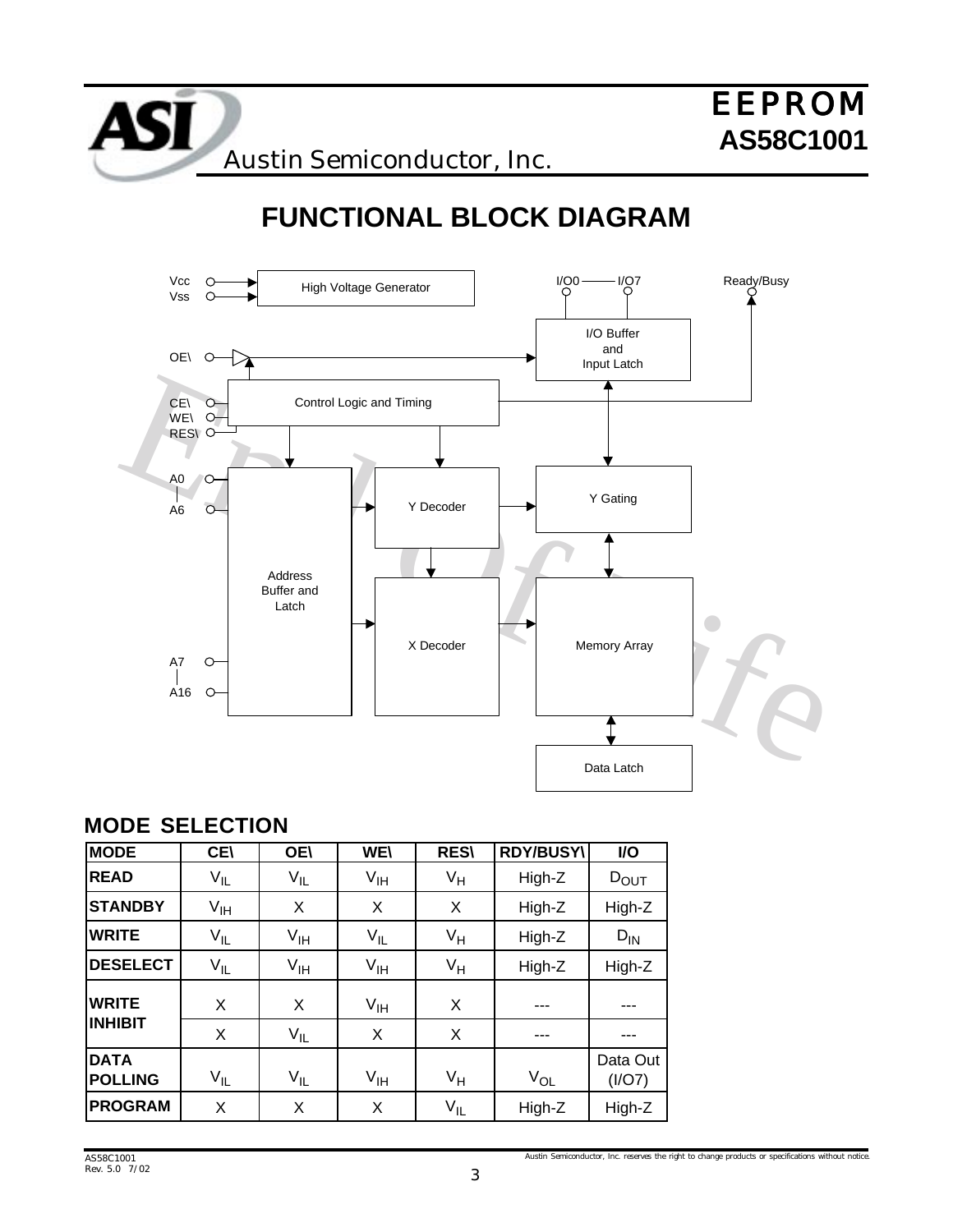# **FUNCTIONAL BLOCK DIAGRAM**



### **MODE SELECTION**

| <b>MODE</b>                   | <b>CE\</b>      | <b>OE\</b>      | <b>WE\</b>      | <b>RES\</b> | <b>RDY/BUSY\</b> | I/O                |
|-------------------------------|-----------------|-----------------|-----------------|-------------|------------------|--------------------|
| <b>READ</b>                   | $V_{IL}$        | $V_{IL}$        | $V_{\text{IH}}$ | $V_H$       | High-Z           | $D_{\text{OUT}}$   |
| <b>STANDBY</b>                | V <sub>IH</sub> | X               | X               | X           | High-Z           | High-Z             |
| <b>WRITE</b>                  | $V_{IL}$        | $V_{\sf IH}$    | $V_{IL}$        | $V_H$       | High-Z           | $D_{IN}$           |
| <b>DESELECT</b>               | $V_{IL}$        | V <sub>IH</sub> | $V_{\text{IH}}$ | $V_H$       | High-Z           | High-Z             |
| <b>WRITE</b>                  | X               | X               | V <sub>IH</sub> | X           |                  |                    |
| <b>INHIBIT</b>                | X               | $V_{IL}$        | X               | X           |                  |                    |
| <b>DATA</b><br><b>POLLING</b> | $V_{IL}$        | $V_{IL}$        | $V_{\text{IH}}$ | $V_H$       | $V_{OL}$         | Data Out<br>(I/O7) |
| <b>PROGRAM</b>                | X               | X               | X               | $V_{IL}$    | High-Z           | High-Z             |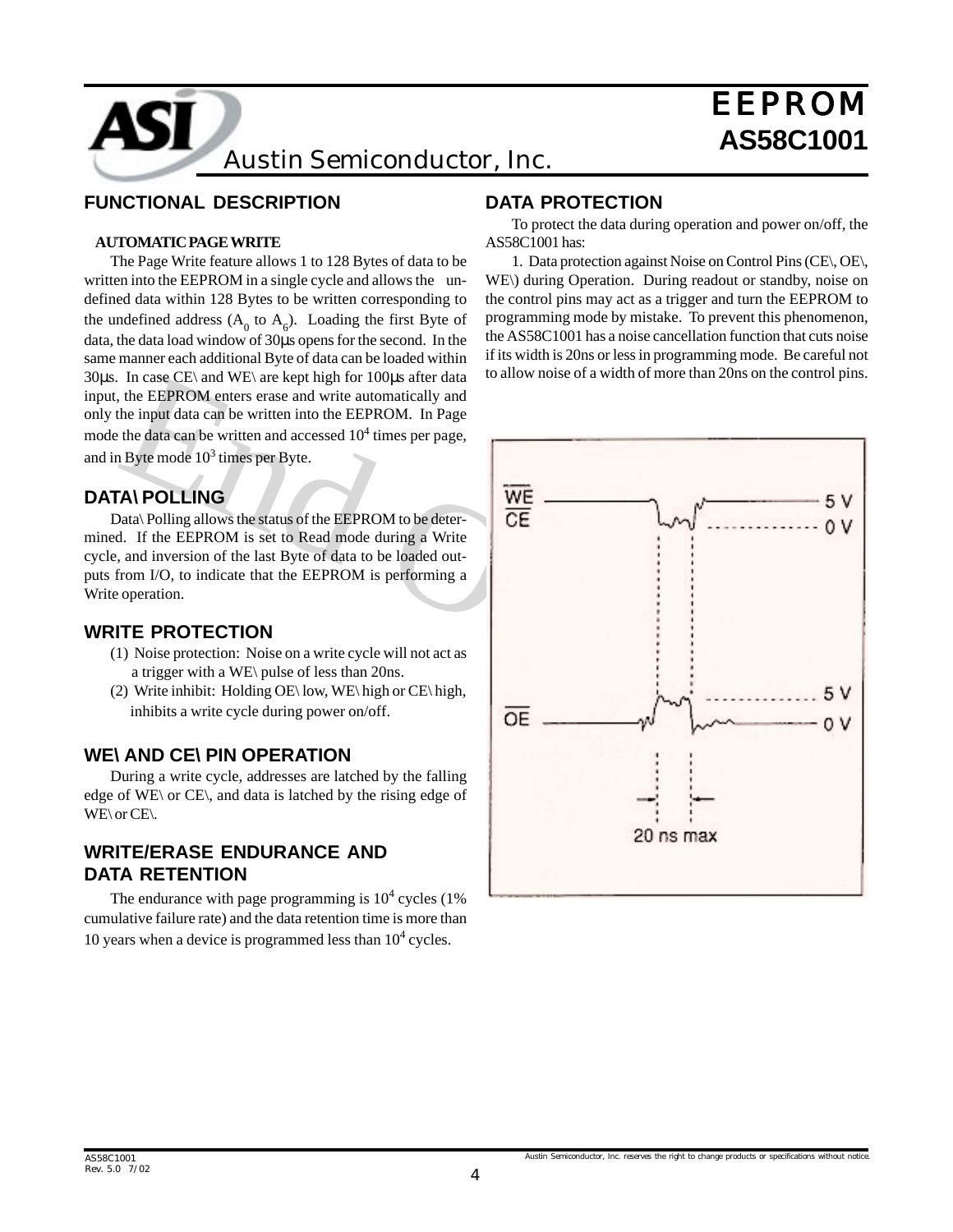**AS58C1001** Austin Semiconductor, Inc.

#### **FUNCTIONAL DESCRIPTION**

#### **AUTOMATIC PAGE WRITE**

The Page Write feature allows 1 to 128 Bytes of data to be written into the EEPROM in a single cycle and allows the undefined data within 128 Bytes to be written corresponding to the undefined address  $(A_0$  to  $A_6)$ . Loading the first Byte of data, the data load window of 30µs opens for the second. In the same manner each additional Byte of data can be loaded within 30µs. In case CE\ and WE\ are kept high for 100µs after data input, the EEPROM enters erase and write automatically and only the input data can be written into the EEPROM. In Page mode the data can be written and accessed  $10^4$  times per page, and in Byte mode  $10^3$  times per Byte.

#### **DATA\ POLLING**

Data\ Polling allows the status of the EEPROM to be determined. If the EEPROM is set to Read mode during a Write cycle, and inversion of the last Byte of data to be loaded outputs from I/O, to indicate that the EEPROM is performing a Write operation.

#### **WRITE PROTECTION**

- (1) Noise protection: Noise on a write cycle will not act as a trigger with a WE\ pulse of less than 20ns.
- (2) Write inhibit: Holding OE\ low, WE\ high or CE\ high, inhibits a write cycle during power on/off.

#### **WE\ AND CE\ PIN OPERATION**

During a write cycle, addresses are latched by the falling edge of WE\ or CE\, and data is latched by the rising edge of WE\ or CE\.

#### **WRITE/ERASE ENDURANCE AND DATA RETENTION**

The endurance with page programming is  $10^4$  cycles (1%) cumulative failure rate) and the data retention time is more than 10 years when a device is programmed less than  $10<sup>4</sup>$  cycles.

#### **DATA PROTECTION**

To protect the data during operation and power on/off, the AS58C1001 has:

1. Data protection against Noise on Control Pins (CE\, OE\, WE\) during Operation. During readout or standby, noise on the control pins may act as a trigger and turn the EEPROM to programming mode by mistake. To prevent this phenomenon, the AS58C1001 has a noise cancellation function that cuts noise if its width is 20ns or less in programming mode. Be careful not to allow noise of a width of more than 20ns on the control pins.

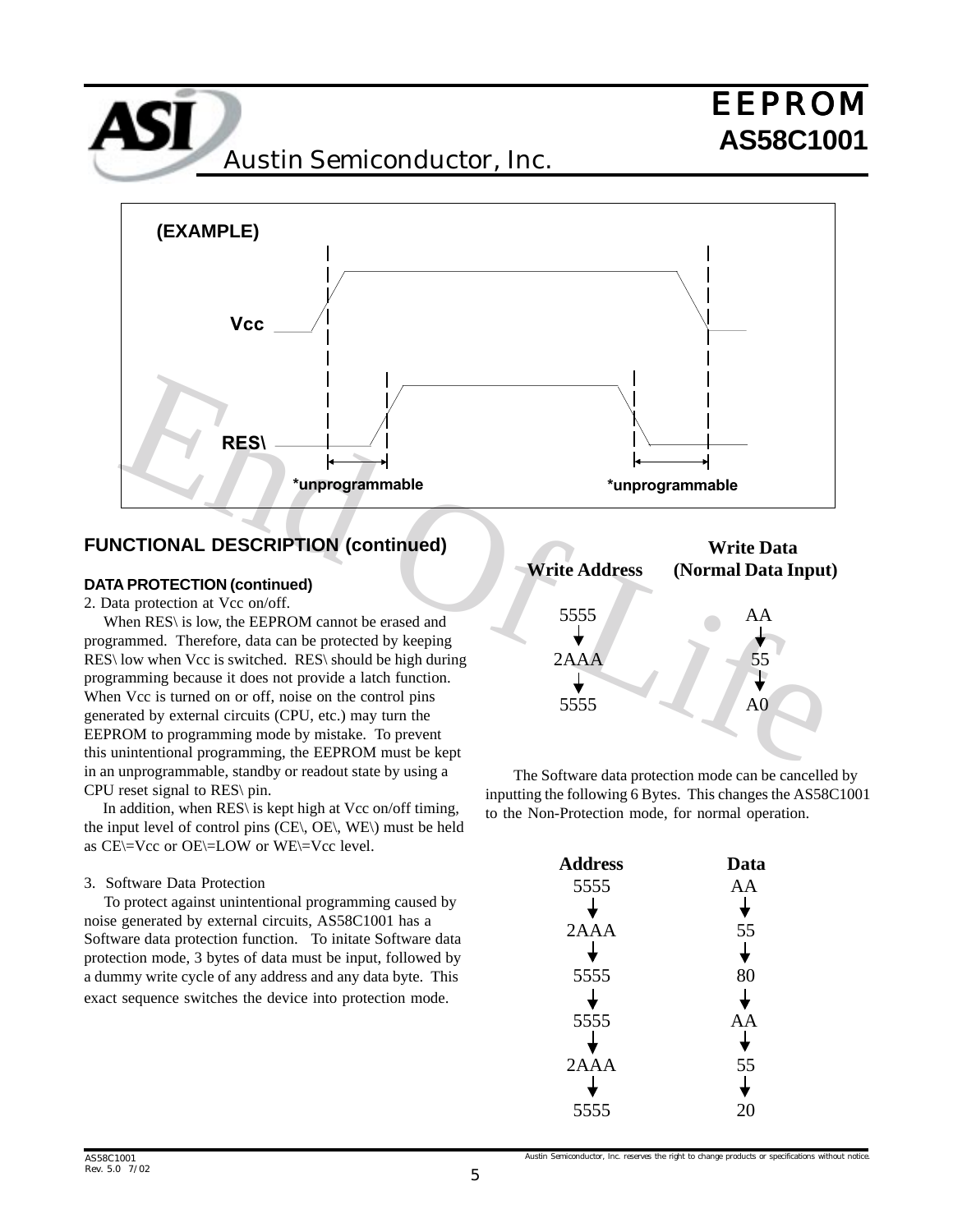**AS58C1001** Austin Semiconductor, Inc.



#### **FUNCTIONAL DESCRIPTION (continued)**

#### **DATA PROTECTION (continued)**

2. Data protection at Vcc on/off.

 When RES\ is low, the EEPROM cannot be erased and programmed. Therefore, data can be protected by keeping RES\ low when Vcc is switched. RES\ should be high during programming because it does not provide a latch function. When Vcc is turned on or off, noise on the control pins generated by external circuits (CPU, etc.) may turn the EEPROM to programming mode by mistake. To prevent this unintentional programming, the EEPROM must be kept in an unprogrammable, standby or readout state by using a CPU reset signal to RES\ pin.

 In addition, when RES\ is kept high at Vcc on/off timing, the input level of control pins (CE\, OE\, WE\) must be held as CE\=Vcc or OE\=LOW or WE\=Vcc level.

#### 3. Software Data Protection

 To protect against unintentional programming caused by noise generated by external circuits, AS58C1001 has a Software data protection function. To initate Software data protection mode, 3 bytes of data must be input, followed by a dummy write cycle of any address and any data byte. This exact sequence switches the device into protection mode.



The Software data protection mode can be cancelled by inputting the following 6 Bytes. This changes the AS58C1001 to the Non-Protection mode, for normal operation.

| <b>Address</b> | Data |
|----------------|------|
| 5555           | AA   |
|                |      |
| 2AAA           | 55   |
|                |      |
| 5555           | 80   |
|                |      |
| 5555           | ΑA   |
|                |      |
| 2AAA           | 55   |
|                |      |
| 5555           |      |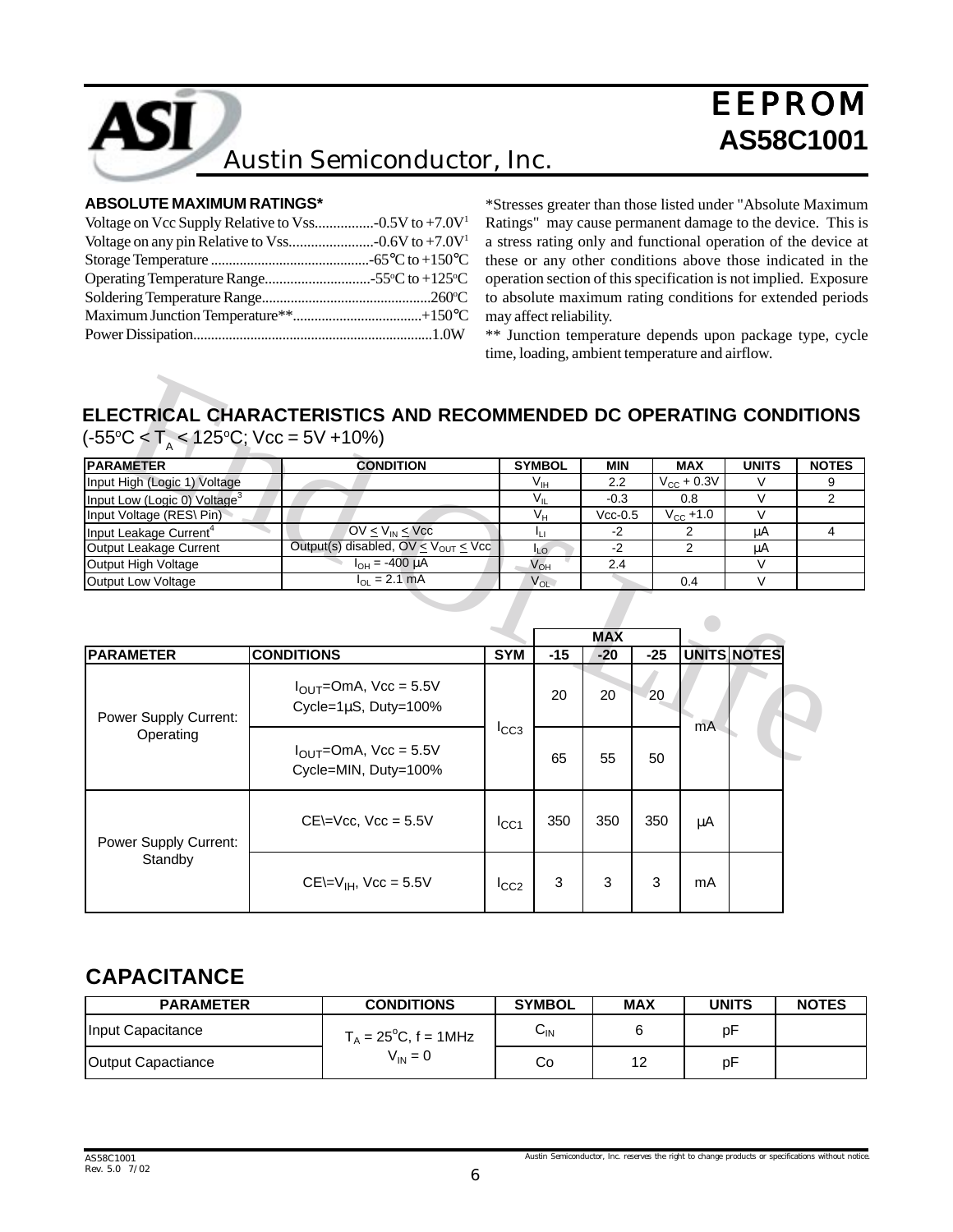

# **AS58C1001** Austin Semiconductor, Inc.

#### **ABSOLUTE MAXIMUM RATINGS\***

\*Stresses greater than those listed under "Absolute Maximum Ratings" may cause permanent damage to the device. This is a stress rating only and functional operation of the device at these or any other conditions above those indicated in the operation section of this specification is not implied. Exposure to absolute maximum rating conditions for extended periods may affect reliability.

\*\* Junction temperature depends upon package type, cycle time, loading, ambient temperature and airflow.

# **ELECTRICAL CHARACTERISTICS AND RECOMMENDED DC OPERATING CONDITIONS**  $(-55^{\circ}C < T_{A} < 125^{\circ}C;$  Vcc = 5V +10%)

| <b>PARAMETER</b>                         | <b>CONDITION</b>                                  | <b>SYMBOL</b> | <b>MIN</b> | <b>MAX</b>      | <b>UNITS</b> | <b>NOTES</b> |
|------------------------------------------|---------------------------------------------------|---------------|------------|-----------------|--------------|--------------|
| Input High (Logic 1) Voltage             |                                                   | $V_{\rm IH}$  | 2.2        | $V_{CC}$ + 0.3V |              |              |
| Input Low (Logic 0) Voltage <sup>3</sup> |                                                   |               | $-0.3$     | 0.8             |              |              |
| Input Voltage (RES\ Pin)                 |                                                   | Vн            | $Vcc-0.5$  | $V_{CC} + 1.0$  |              |              |
| Input Leakage Current <sup>4</sup>       | $OV < V_{IN} < V_{CC}$                            |               | -2         |                 | μA           |              |
| Output Leakage Current                   | Output(s) disabled, $OV \leq V_{OUT} \leq V_{CC}$ | ILO-          | -2         |                 | μA           |              |
| Output High Voltage                      | $I_{OH} = -400 \mu A$                             | $V_{OH}$      | 2.4        |                 |              |              |
| Output Low Voltage                       | $I_{\Omega I} = 2.1$ mA                           | $V_{OL}$      |            | 0.4             |              |              |

| <b>PARAMETER</b>                         | <b>CONDITION</b>                                          |                  | <b>SYMBOL</b>   | <b>MIN</b>          |       | <b>MAX</b>             | <b>UNITS</b>       | NO <sup>-</sup> |
|------------------------------------------|-----------------------------------------------------------|------------------|-----------------|---------------------|-------|------------------------|--------------------|-----------------|
| Input High (Logic 1) Voltage             |                                                           |                  | $V_{\text{IH}}$ | 2.2                 |       | $V_{\text{CC}}$ + 0.3V | $\vee$             |                 |
| Input Low (Logic 0) Voltage <sup>3</sup> |                                                           |                  | $V_{\parallel}$ | $-0.3$              |       | 0.8                    | $\vee$             |                 |
| Input Voltage (RES\ Pin)                 |                                                           |                  | $V_{H}$         | $Vcc-0.5$           |       | $V_{CC} + 1.0$         | $\vee$             |                 |
| Input Leakage Current <sup>4</sup>       | $OV \leq V_{IN} \leq V_{CC}$                              |                  | Īц              | $-2$                |       | 2                      | μA                 |                 |
| Output Leakage Current                   | Output(s) disabled, $OV \le V_{OUT} \le Vcc$              |                  | $I_{LO}$        | $-2$                |       | 2                      | μA                 |                 |
| Output High Voltage                      | $I_{OH} = -400 \mu A$                                     |                  | $V_{OH}$        | 2.4                 |       |                        | V                  |                 |
| Output Low Voltage                       | $I_{OL} = 2.1$ mA                                         |                  | $V_{OL}$        |                     |       | 0.4                    | $\vee$             |                 |
|                                          |                                                           |                  |                 |                     |       |                        |                    |                 |
| <b>PARAMETER</b>                         | <b>CONDITIONS</b><br>$I_{\text{OUT}}$ =OmA, Vcc = 5.5V    | <b>SYM</b>       | $-15$           | <b>MAX</b><br>$-20$ | $-25$ |                        | <b>UNITS NOTES</b> |                 |
|                                          |                                                           |                  | 20              | 20                  | 20    |                        |                    |                 |
| Power Supply Current:                    | Cycle= $1\mu$ S, Duty= $100\%$                            |                  |                 |                     |       |                        |                    |                 |
| Operating                                | $I_{\text{OUT}}$ =OmA, Vcc = 5.5V<br>Cycle=MIN, Duty=100% | $I_{CC3}$        | 65              | 55                  | 50    | mA                     |                    |                 |
| <b>Power Supply Current:</b>             | $CE = \sqrt{CC}$ , $\sqrt{CC} = 5.5V$                     | I <sub>CC1</sub> | 350             | 350                 | 350   | μA                     |                    |                 |

### **CAPACITANCE**

| <b>PARAMETER</b>   | <b>CONDITIONS</b>              | <b>SYMBOL</b>             | <b>MAX</b> | UNITS | <b>NOTES</b> |
|--------------------|--------------------------------|---------------------------|------------|-------|--------------|
| Input Capacitance  | $T_A = 25^{\circ}C$ , f = 1MHz | $\sim$<br>$V_{\text{IN}}$ |            | рF    |              |
| Output Capactiance | $V_{IN} = 0$                   | Co                        | 10<br>▵    | рF    |              |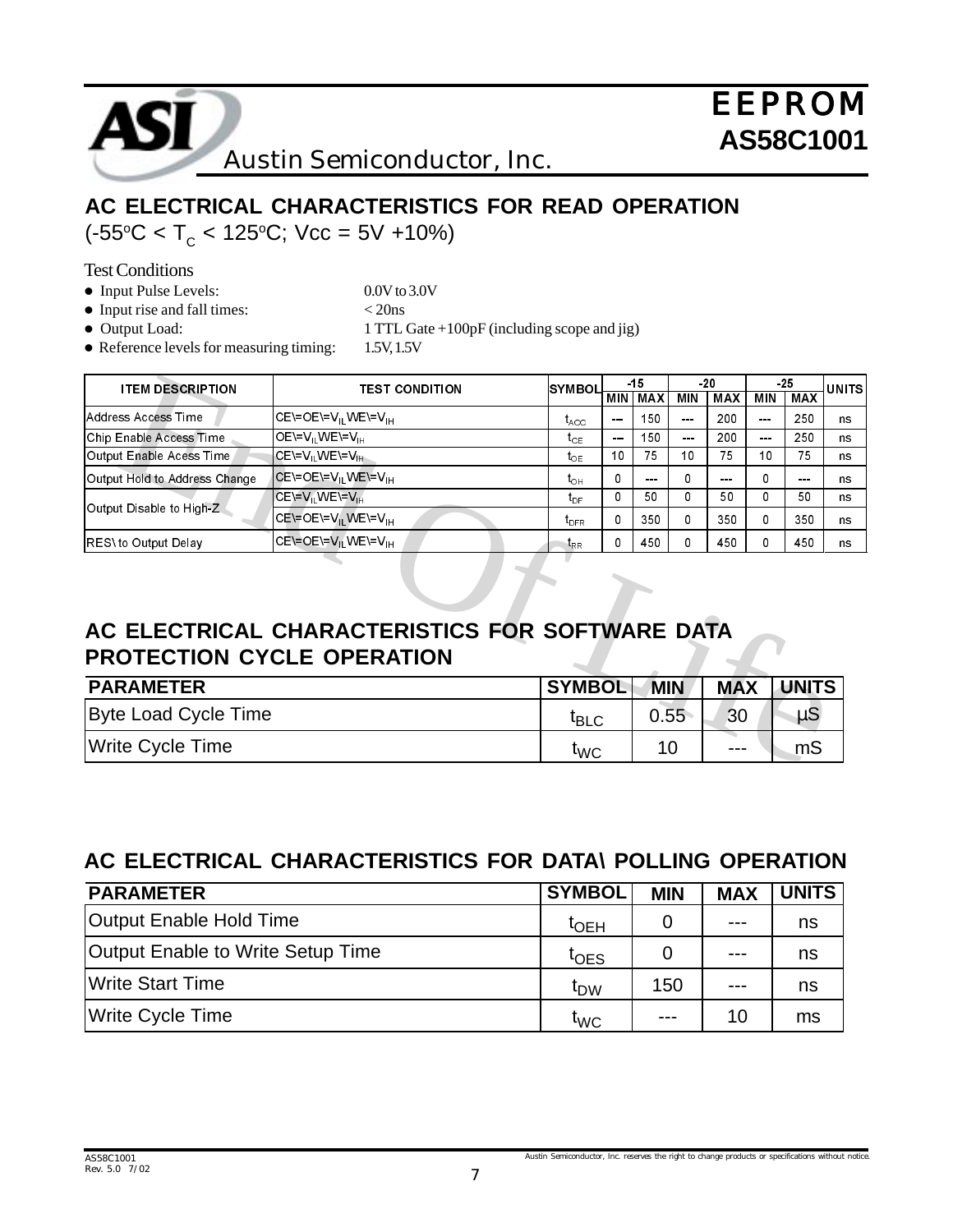

# **AC ELECTRICAL CHARACTERISTICS FOR READ OPERATION** (-55°C < T<sub>c</sub> < 125°C; Vcc = 5V +10%)

Test Conditions

• Input Pulse Levels: 0.0V to 3.0V

- Input rise and fall times:  $<$  20ns
- 
- Output Load: 1 TTL Gate +100pF (including scope and jig)
- Reference levels for measuring timing: 1.5V, 1.5V

| <b>ITEM DESCRIPTION</b>           | <b>TEST CONDITION</b>                           | $-15$<br><b>SYMBOL</b> |               |            |          |            | -25     |                      | <b>UNITS</b> |
|-----------------------------------|-------------------------------------------------|------------------------|---------------|------------|----------|------------|---------|----------------------|--------------|
|                                   |                                                 |                        | <b>MIN</b>    | MAX        | MIN      | <b>MAX</b> | MIN     | <b>MAX</b>           |              |
| Address Access Time               | CE\=OE\=V <sub>IL</sub> WE\=V <sub>IH</sub>     | $t_{\text{ACC}}$       | $- - -$       | 150        | $- - -$  | 200        | $- - -$ | 250                  | ns           |
| Chip Enable Access Time           | $OE=V_{\text{H}}$ WE = $V_{\text{H}}$           | $t_{CE}$               | $\frac{1}{2}$ | 150        | ---      | 200        | $- - -$ | 250                  | ns           |
| Output Enable Acess Time          | $CE=V_{\parallel} WE=V_{\parallel}$             | $t_{\text{OF}}$        | 10            | 75         | 10       | 75         | 10      | 75                   | ns           |
| Output Hold to Address Change     | CE\=OE\=V <sub>II</sub> WE\=V <sub>IH</sub>     | $t_{\text{OH}}$        | 0             | $- - -$    | $\Omega$ | ---        | 0       | $\sim$ $\sim$ $\sim$ | ns           |
|                                   | ICE\≐V, WE\=V <sub>IH</sub>                     | $t_{\text{DF}}$        | 0             | 50         | $\Omega$ | 50         | 0       | 50                   | ns           |
| Output Disable to High-Z.         | CE\=OE\=V <sub>IL</sub> WE\=V <sub>IH</sub>     | $t_{\text{DFR}}$       | 0             | 350        | $\Omega$ | 350        | 0       | 350                  | ns           |
| RES\ to Output Delay              | CE\=OE\=V <sub>II</sub> WE\=V <sub>IH</sub>     | $t_{\rm RR}$           | 0             | 450        | 0        | 450        | 0       | 450                  | ns           |
| <b>PROTECTION CYCLE OPERATION</b> | AC ELECTRICAL CHARACTERISTICS FOR SOFTWARE DATA |                        |               |            |          |            |         |                      |              |
| <b>PARAMETER</b>                  |                                                 | <b>SYMBOL</b>          |               | <b>MIN</b> |          | <b>MAX</b> |         | <b>UNITS</b>         |              |
| <b>Byte Load Cycle Time</b>       |                                                 | $t_{\text{BLC}}$       |               | 0.55       |          | 30         |         | $\mu$ S              |              |
| <b>Write Cycle Time</b>           |                                                 | t <sub>WC</sub>        |               | 10         |          |            |         | m <sub>S</sub>       |              |

# **AC ELECTRICAL CHARACTERISTICS FOR SOFTWARE DATA PROTECTION CYCLE OPERATION**

| <b>PARAMETER</b>        | <b>SYMBOL</b>                  | <b>MIN</b> | <b>MAX</b> | <b>UNITS</b> |
|-------------------------|--------------------------------|------------|------------|--------------|
| Byte Load Cycle Time    | $t_{\scriptstyle\textrm{BLC}}$ | 0.55       | 30         | ็น5          |
| <b>Write Cycle Time</b> | <b>TWC</b>                     | 10         | $---$      | mS           |

# **AC ELECTRICAL CHARACTERISTICS FOR DATA\ POLLING OPERATION**

| <b>PARAMETER</b>                  | <b>SYMBOL</b>            | <b>MIN</b> | <b>MAX</b> | <b>UNITS</b> |
|-----------------------------------|--------------------------|------------|------------|--------------|
| Output Enable Hold Time           | $\mathfrak{r}_{\sf OEH}$ |            | $---$      | ns           |
| Output Enable to Write Setup Time | $t$ OES                  |            | $---$      | ns           |
| <b>Write Start Time</b>           | <sup>t</sup> DW          | 150        | $---$      | ns           |
| Write Cycle Time                  | <b>LWC</b>               |            | 10         | ms           |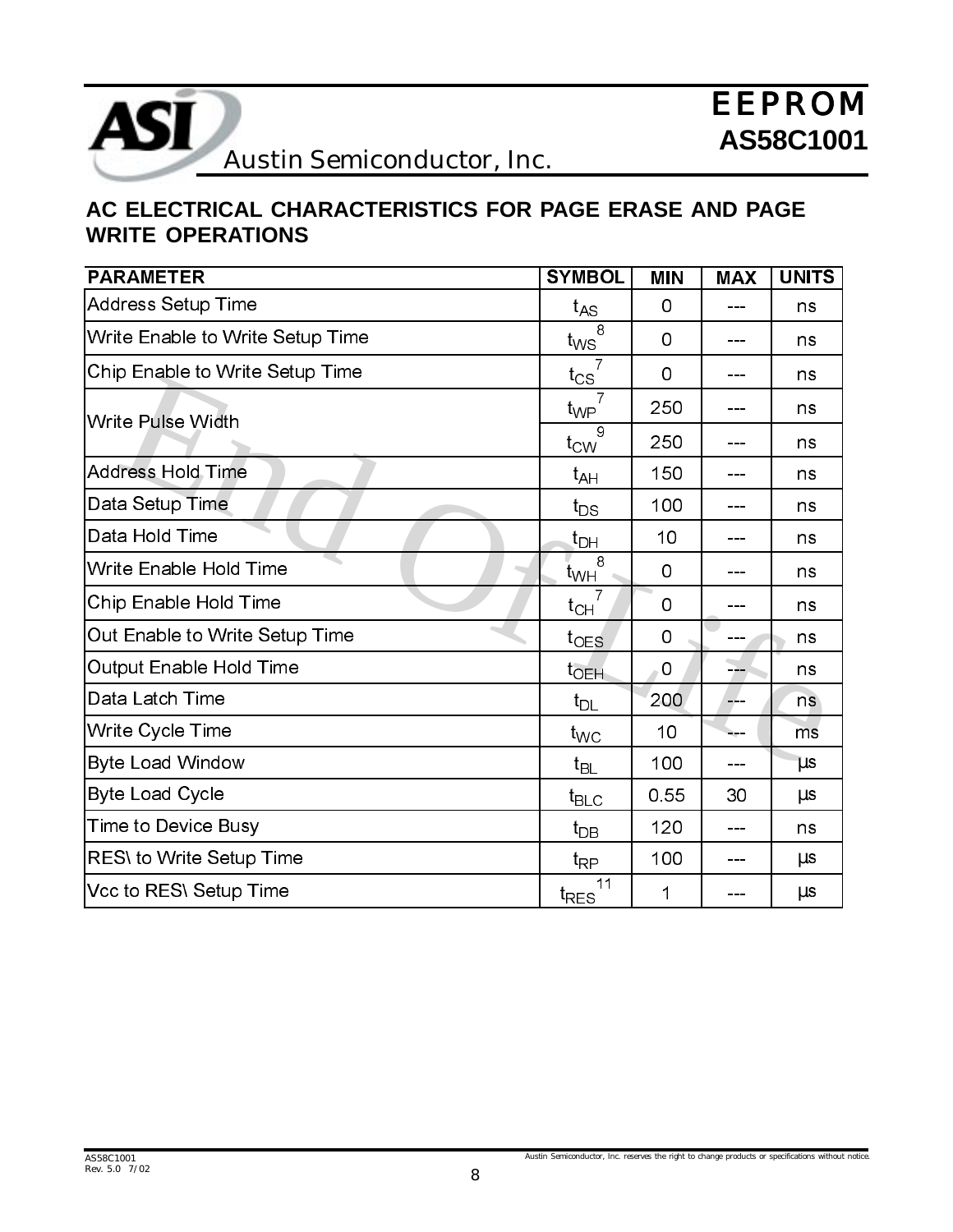

# **AC ELECTRICAL CHARACTERISTICS FOR PAGE ERASE AND PAGE WRITE OPERATIONS**

| <b>PARAMETER</b>                 | <b>SYMBOL</b>        | <b>MIN</b> | <b>MAX</b> | <b>UNITS</b> |
|----------------------------------|----------------------|------------|------------|--------------|
| <b>Address Setup Time</b>        | $t_{AS}$             | 0          |            | ns           |
| Write Enable to Write Setup Time | 8<br>$t_{WS}$        | 0          | ---        | ns           |
| Chip Enable to Write Setup Time  | 7<br>$t_{CS}$        | 0          | ---        | ns           |
| Write Pulse Width                | 7<br>$t_{WP}$        | 250        |            | ns           |
|                                  | 9<br>$t_{\text{CW}}$ | 250        |            | ns           |
| Address Hold Time                | $t_{AH}$             | 150        | ---        | ns           |
| Data Setup Time                  | $t_{DS}$             | 100        | ---        | ns           |
| Data Hold Time                   | $t_{\text{DH}}$      | 10         |            | ns           |
| Write Enable Hold Time           | 8<br>$t_{WH}$        | 0          |            | ns           |
| Chip Enable Hold Time            | $t_{CH}$             | 0          |            | ns           |
| Out Enable to Write Setup Time   | $t_{OES}$            | 0          |            | ns           |
| Output Enable Hold Time          | $t_{\sf OEH}$        | 0          | ---        | ns           |
| Data Latch Time                  | $t_{DL}$             | 200        | ---        | ns.          |
| Write Cycle Time                 | $t_{\text{WC}}$      | 10         |            | mš           |
| <b>Byte Load Window</b>          | $t_{BL}$             | 100        |            | $\mu$ s      |
| <b>Byte Load Cycle</b>           | $t_{\text{BLC}}$     | 0.55       | 30         | $\mu$ s      |
| Time to Device Busy              | $t_{DB}$             | 120        | ---        | ns           |
| RES\ to Write Setup Time         | $t_{\mathsf{RP}}$    | 100        |            | $\mu$ s      |
| Vcc to RES\ Setup Time           | 11<br>$t_{RES}$      | 1          |            | $\mu$ s      |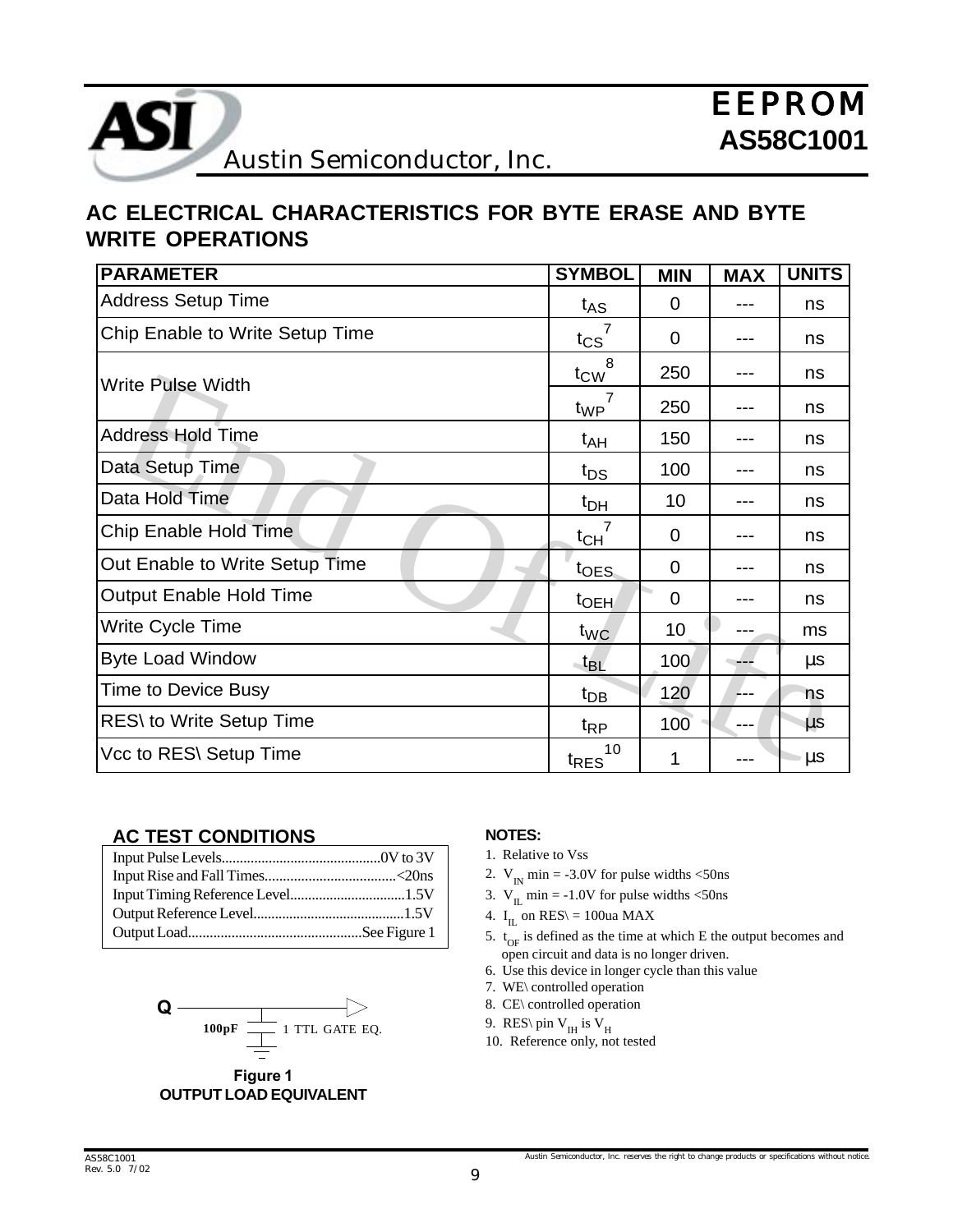

# **AC ELECTRICAL CHARACTERISTICS FOR BYTE ERASE AND BYTE WRITE OPERATIONS**

| <b>PARAMETER</b>                | <b>SYMBOL</b>          | <b>MIN</b>     | <b>MAX</b> | <b>UNITS</b> |
|---------------------------------|------------------------|----------------|------------|--------------|
| <b>Address Setup Time</b>       | $t_{AS}$               | $\mathbf 0$    |            | ns           |
| Chip Enable to Write Setup Time | $t_{CS}$               | $\Omega$       |            | ns           |
| <b>Write Pulse Width</b>        | 8<br>$t_{\text{CW}}$   | 250            |            | ns           |
|                                 | t <sub>WP</sub>        | 250            |            | ns           |
| <b>Address Hold Time</b>        | $t_{AH}$               | 150            |            | ns           |
| Data Setup Time                 | $t_{DS}$               | 100            |            | ns           |
| Data Hold Time                  | $t_{DH}$               | 10             |            | ns           |
| Chip Enable Hold Time           | $t_{CH}$               | $\overline{0}$ |            | ns           |
| Out Enable to Write Setup Time  | t <sub>OES</sub>       | $\mathbf 0$    |            | ns           |
| <b>Output Enable Hold Time</b>  | t <sub>OEH</sub>       | $\mathbf 0$    |            | ns           |
| Write Cycle Time                | t <sub>WC</sub>        | 10             |            | ms           |
| <b>Byte Load Window</b>         | $-t_{\mathsf{BL}}$     | 100            |            | $\mu$ s      |
| <b>Time to Device Busy</b>      | $t_{DB}$               | 120            | ---        | ns           |
| <b>RES\</b> to Write Setup Time | $t_{\mathsf{RP}}$      | 100            |            | $\mu$ s      |
| Vcc to RES\ Setup Time          | 10<br><sup>t</sup> RES | 1              |            | μs           |

#### **AC TEST CONDITIONS**



#### Figure 1 **OUTPUT LOAD EQUIVALENT**

#### **NOTES:**

- 1. Relative to Vss
- 2.  $V_{IN}$  min = -3.0V for pulse widths <50ns
- 3.  $V_{II}$  min = -1.0V for pulse widths <50ns
- 4.  $I_{II}$  on RES\ = 100ua MAX
- 5.  $t_{OF}$  is defined as the time at which E the output becomes and open circuit and data is no longer driven.
- 6. Use this device in longer cycle than this value
- 7. WE\ controlled operation
- 8. CE\ controlled operation
- 9. RES\ pin  $V_H$  is  $V_H$
- 10. Reference only, not tested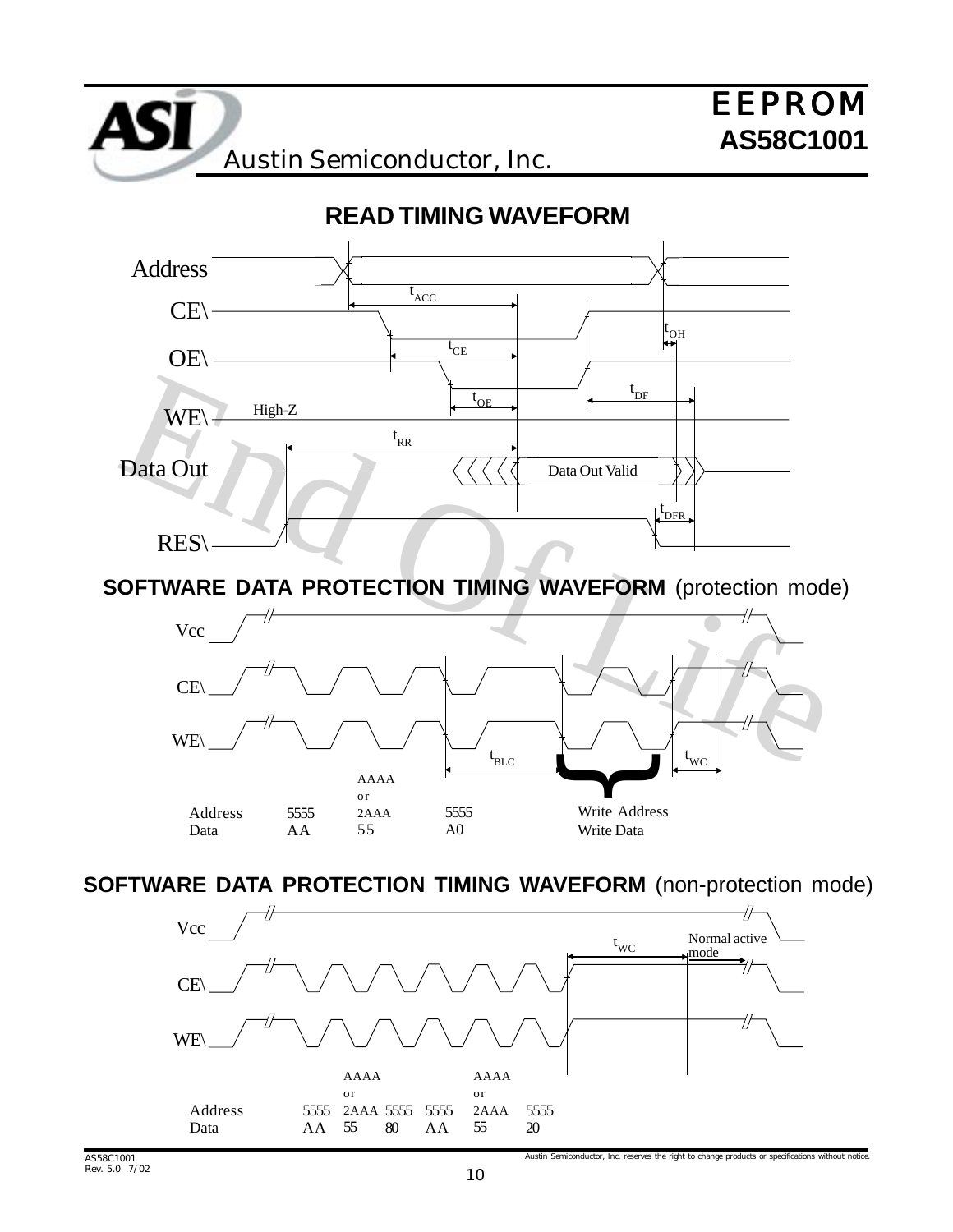

# **SOFTWARE DATA PROTECTION TIMING WAVEFORM** (protection mode)



### **SOFTWARE DATA PROTECTION TIMING WAVEFORM** (non-protection mode)

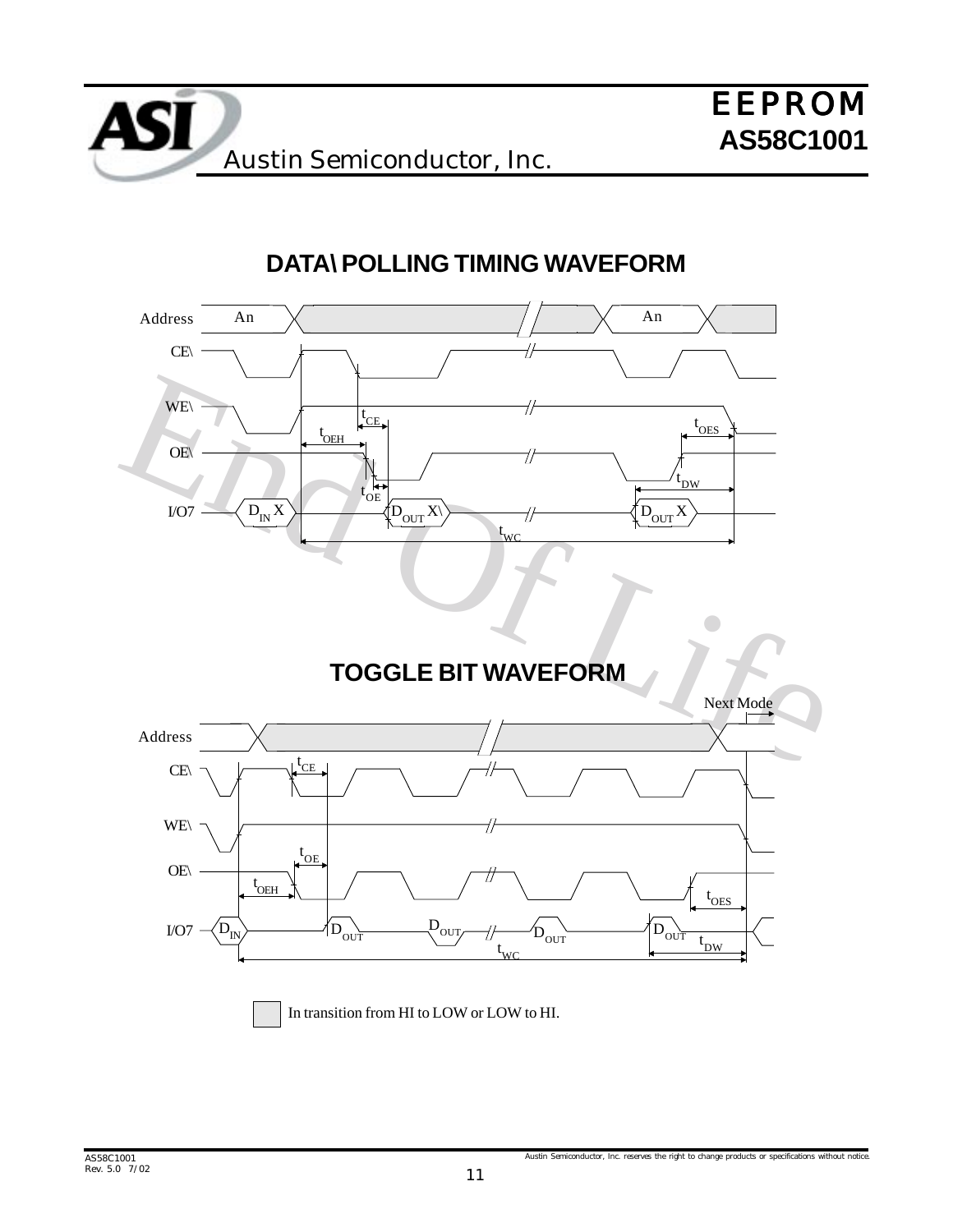

# **DATA\ POLLING TIMING WAVEFORM**

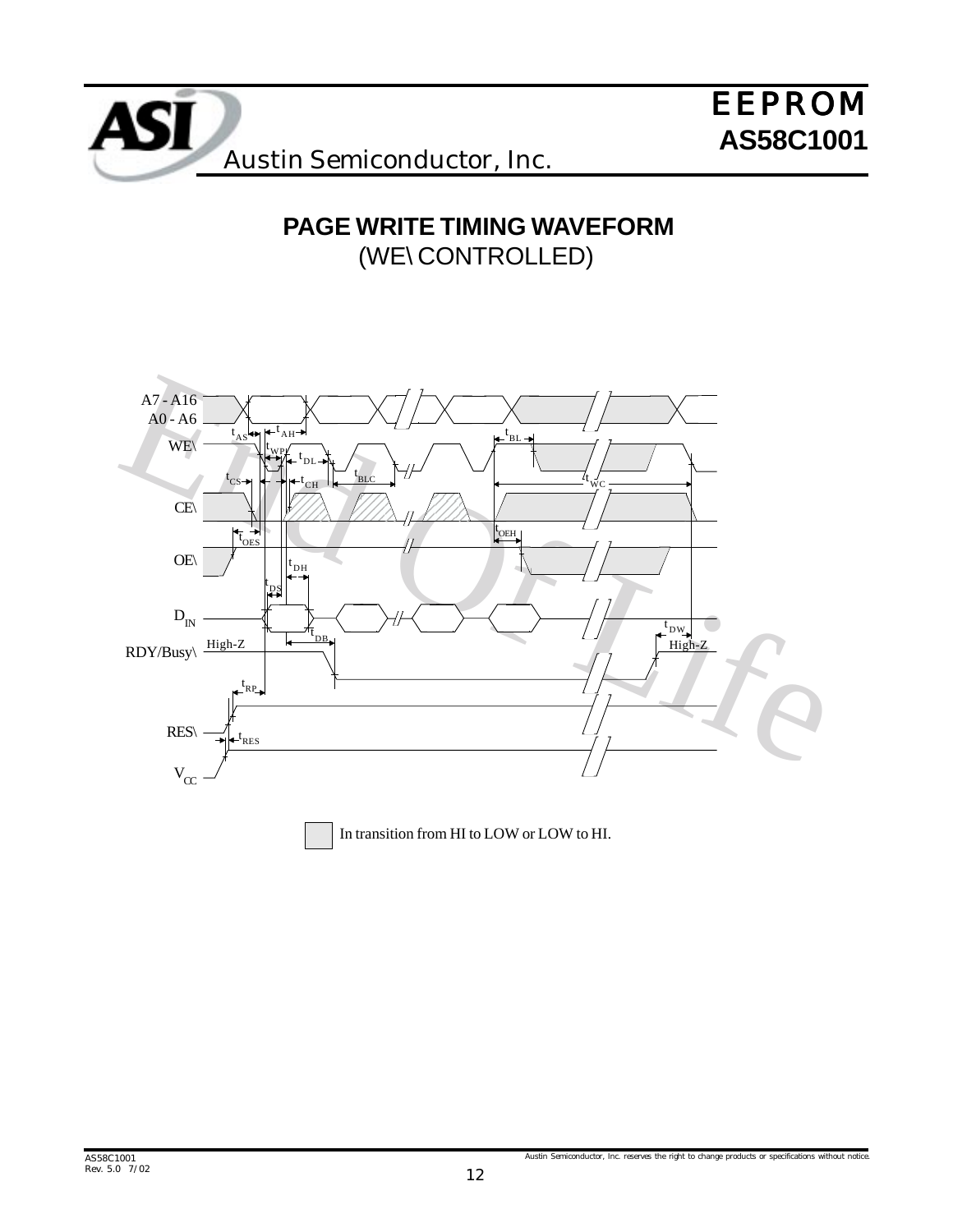

# **PAGE WRITE TIMING WAVEFORM** (WE\ CONTROLLED)

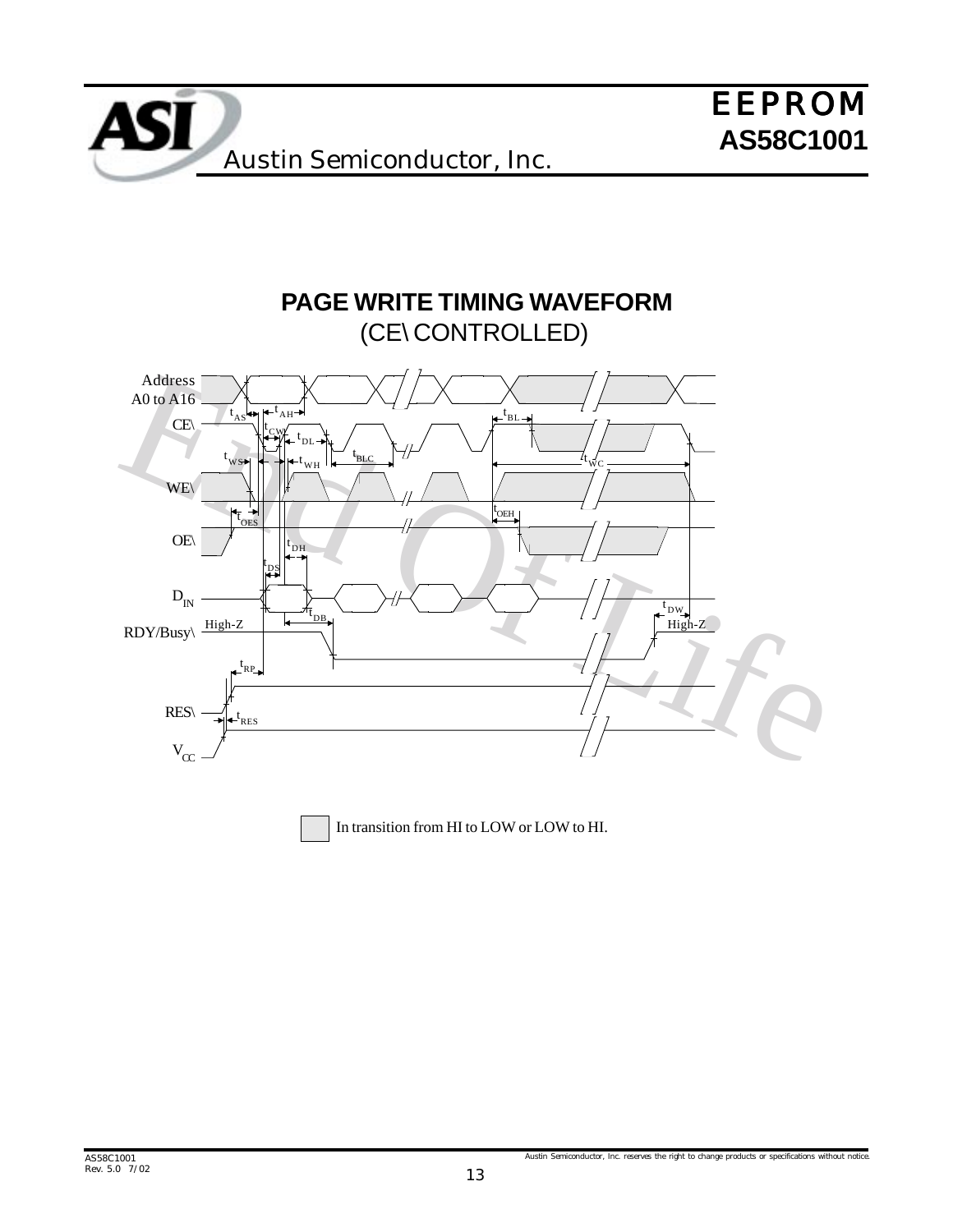

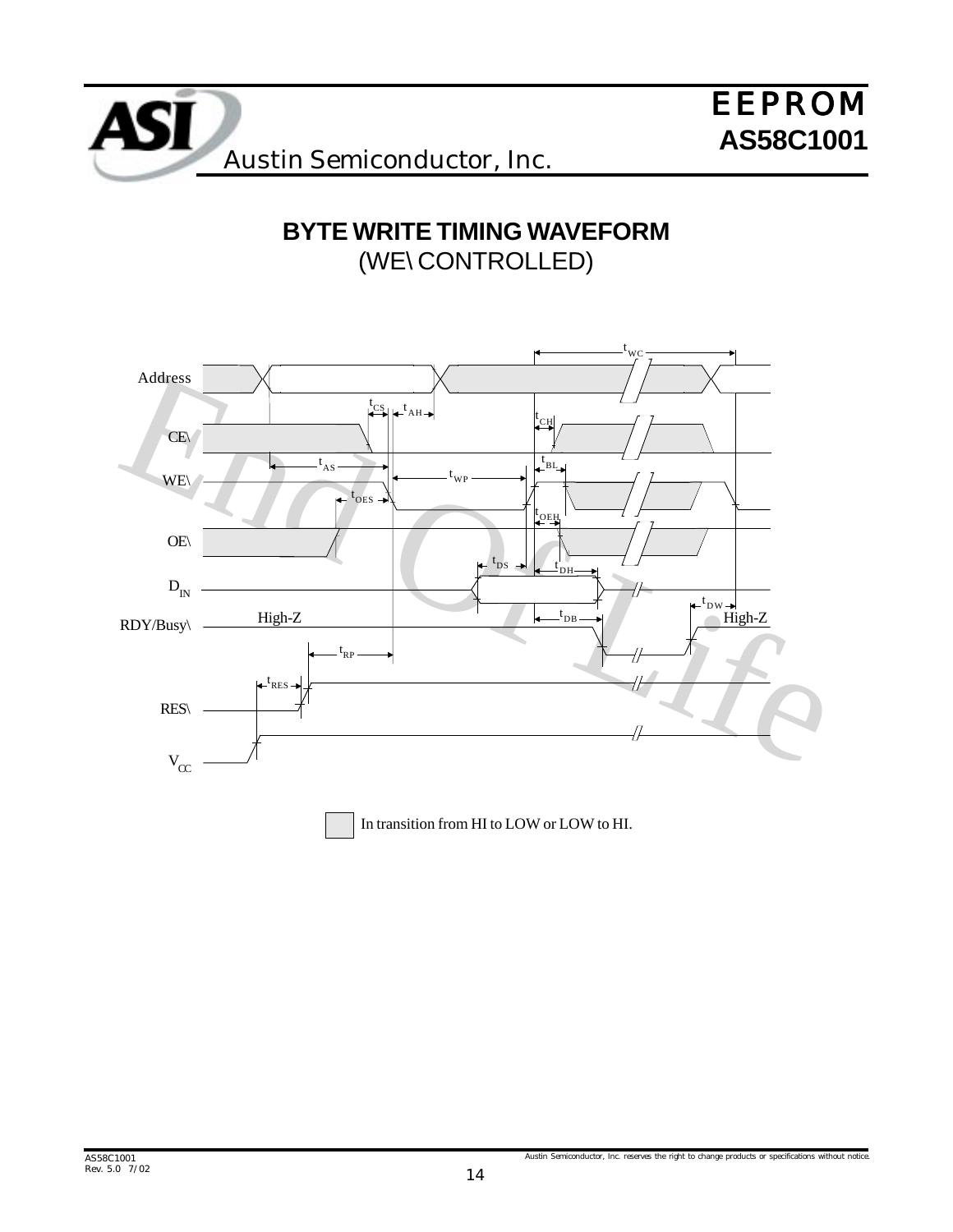

# **BYTE WRITE TIMING WAVEFORM** (WE\ CONTROLLED)

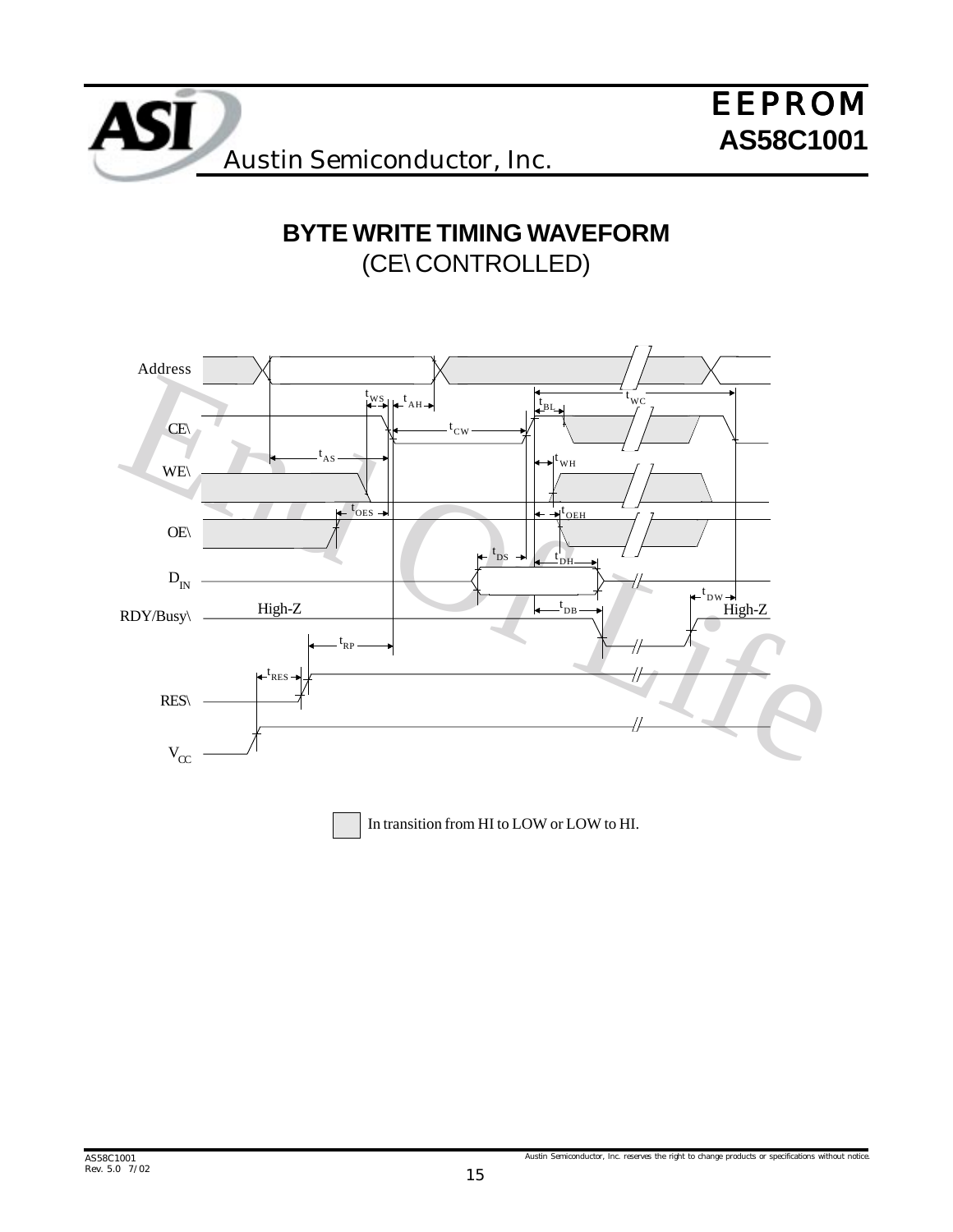

**BYTE WRITE TIMING WAVEFORM** (CE\ CONTROLLED)



In transition from HI to LOW or LOW to HI.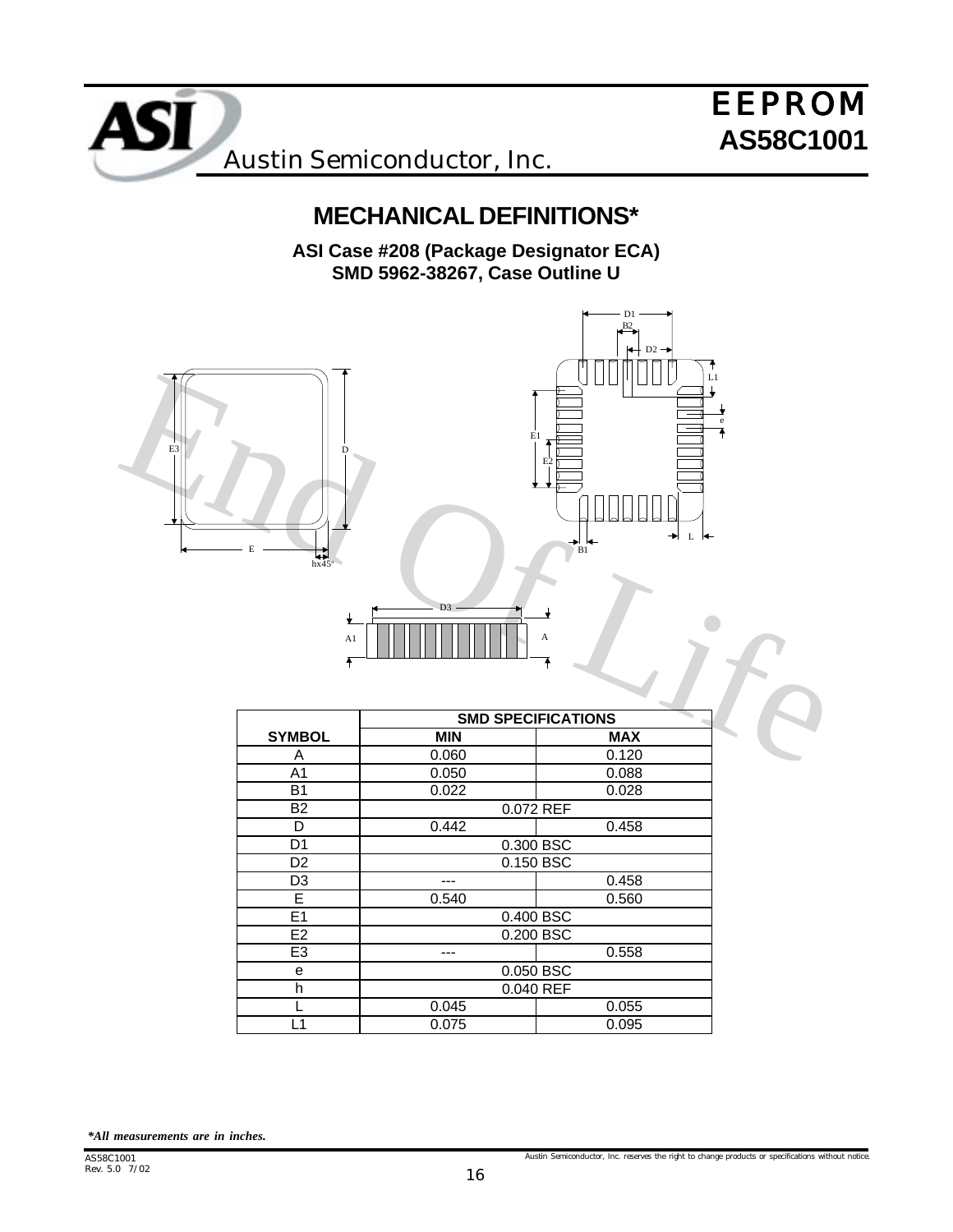

**MECHANICAL DEFINITIONS\***

**ASI Case #208 (Package Designator ECA) SMD 5962-38267, Case Outline U**





|    |  |  |  | $D3$ — |  |   |
|----|--|--|--|--------|--|---|
| A1 |  |  |  |        |  | А |
|    |  |  |  |        |  |   |

| <b>SMD SPECIFICATIONS</b> |            |  |  |
|---------------------------|------------|--|--|
| <b>MIN</b>                | <b>MAX</b> |  |  |
| 0.060                     | 0.120      |  |  |
| 0.050                     | 0.088      |  |  |
| 0.022                     | 0.028      |  |  |
|                           | 0.072 REF  |  |  |
| 0.442                     | 0.458      |  |  |
| 0.300 BSC                 |            |  |  |
|                           | 0.150 BSC  |  |  |
|                           | 0.458      |  |  |
| 0.540                     | 0.560      |  |  |
|                           | 0.400 BSC  |  |  |
|                           | 0.200 BSC  |  |  |
|                           | 0.558      |  |  |
| 0.050 BSC                 |            |  |  |
| 0.040 REF                 |            |  |  |
| 0.045                     | 0.055      |  |  |
| 0.075                     | 0.095      |  |  |
|                           |            |  |  |

*\*All measurements are in inches.*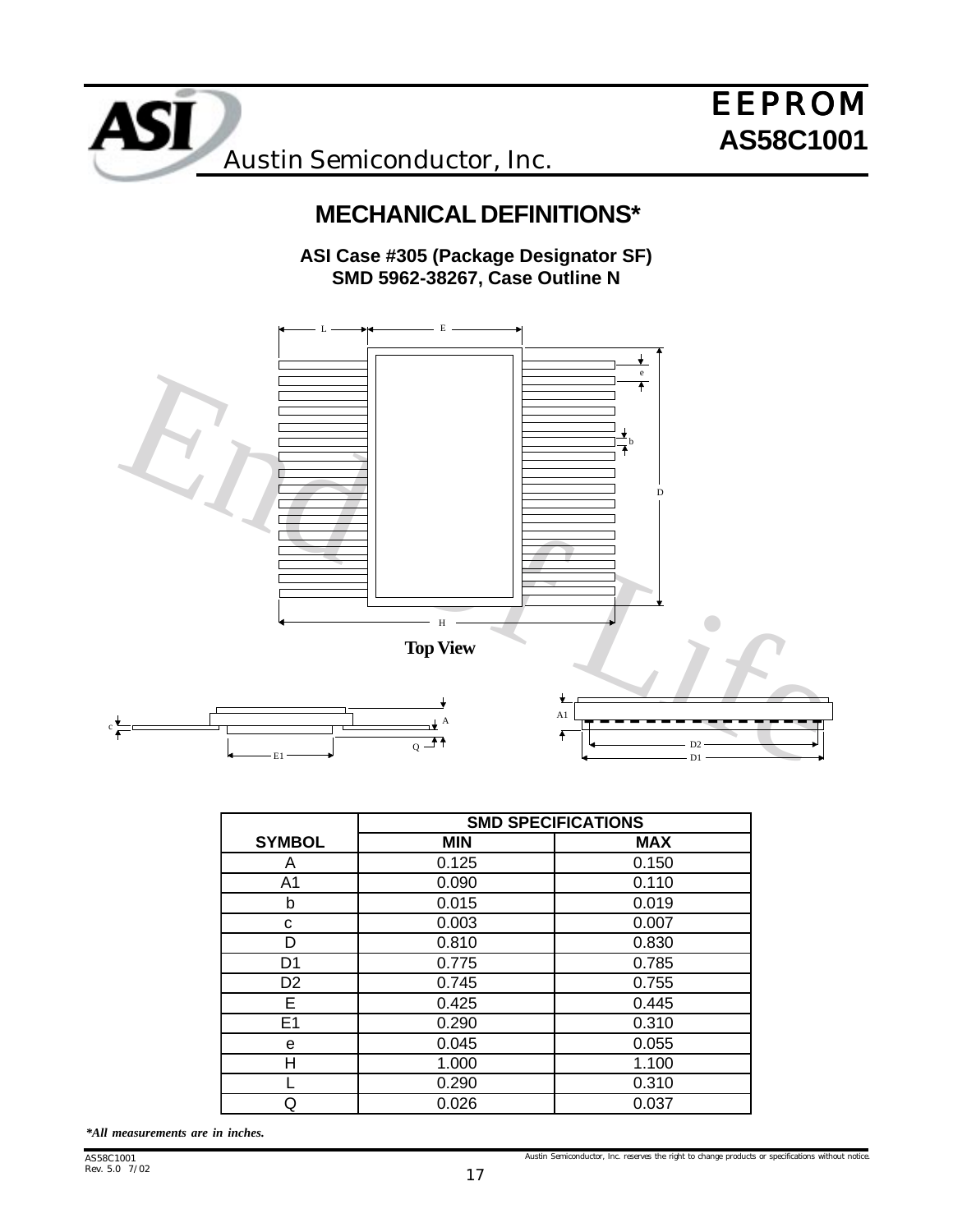

# **MECHANICAL DEFINITIONS\***

**ASI Case #305 (Package Designator SF) SMD 5962-38267, Case Outline N**



|                | <b>SMD SPECIFICATIONS</b> |            |  |  |
|----------------|---------------------------|------------|--|--|
| <b>SYMBOL</b>  | <b>MIN</b>                | <b>MAX</b> |  |  |
| A              | 0.125                     | 0.150      |  |  |
| A1             | 0.090                     | 0.110      |  |  |
| b              | 0.015                     | 0.019      |  |  |
| С              | 0.003                     | 0.007      |  |  |
| D              | 0.810                     | 0.830      |  |  |
| D1             | 0.775                     | 0.785      |  |  |
| D <sub>2</sub> | 0.745                     | 0.755      |  |  |
| E.             | 0.425                     | 0.445      |  |  |
| E1             | 0.290                     | 0.310      |  |  |
| е              | 0.045                     | 0.055      |  |  |
| Η              | 1.000                     | 1.100      |  |  |
|                | 0.290                     | 0.310      |  |  |
| Q              | 0.026                     | 0.037      |  |  |
|                |                           |            |  |  |

*\*All measurements are in inches.*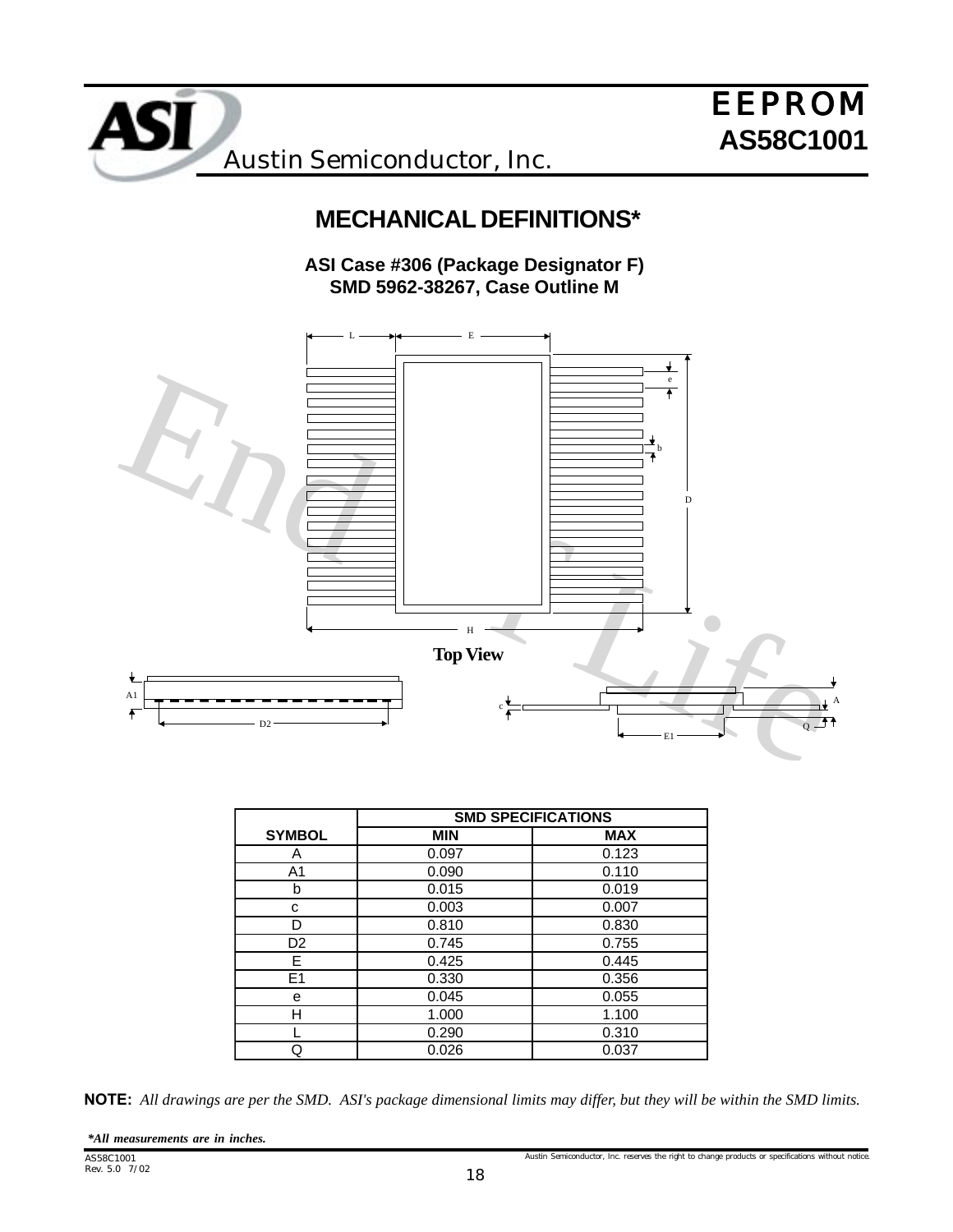

# **MECHANICAL DEFINITIONS\***

**ASI Case #306 (Package Designator F) SMD 5962-38267, Case Outline M**



|                | <b>SMD SPECIFICATIONS</b> |            |  |  |
|----------------|---------------------------|------------|--|--|
| <b>SYMBOL</b>  | <b>MIN</b>                | <b>MAX</b> |  |  |
| A              | 0.097                     | 0.123      |  |  |
| A <sub>1</sub> | 0.090                     | 0.110      |  |  |
| b              | 0.015                     | 0.019      |  |  |
| с              | 0.003                     | 0.007      |  |  |
| D              | 0.810                     | 0.830      |  |  |
| D <sub>2</sub> | 0.745                     | 0.755      |  |  |
| Е              | 0.425                     | 0.445      |  |  |
| E <sub>1</sub> | 0.330                     | 0.356      |  |  |
| е              | 0.045                     | 0.055      |  |  |
| н              | 1.000                     | 1.100      |  |  |
|                | 0.290                     | 0.310      |  |  |
| Q              | 0.026                     | 0.037      |  |  |
|                |                           |            |  |  |

NOTE: *All drawings are per the SMD. ASI's package dimensional limits may differ, but they will be within the SMD limits.*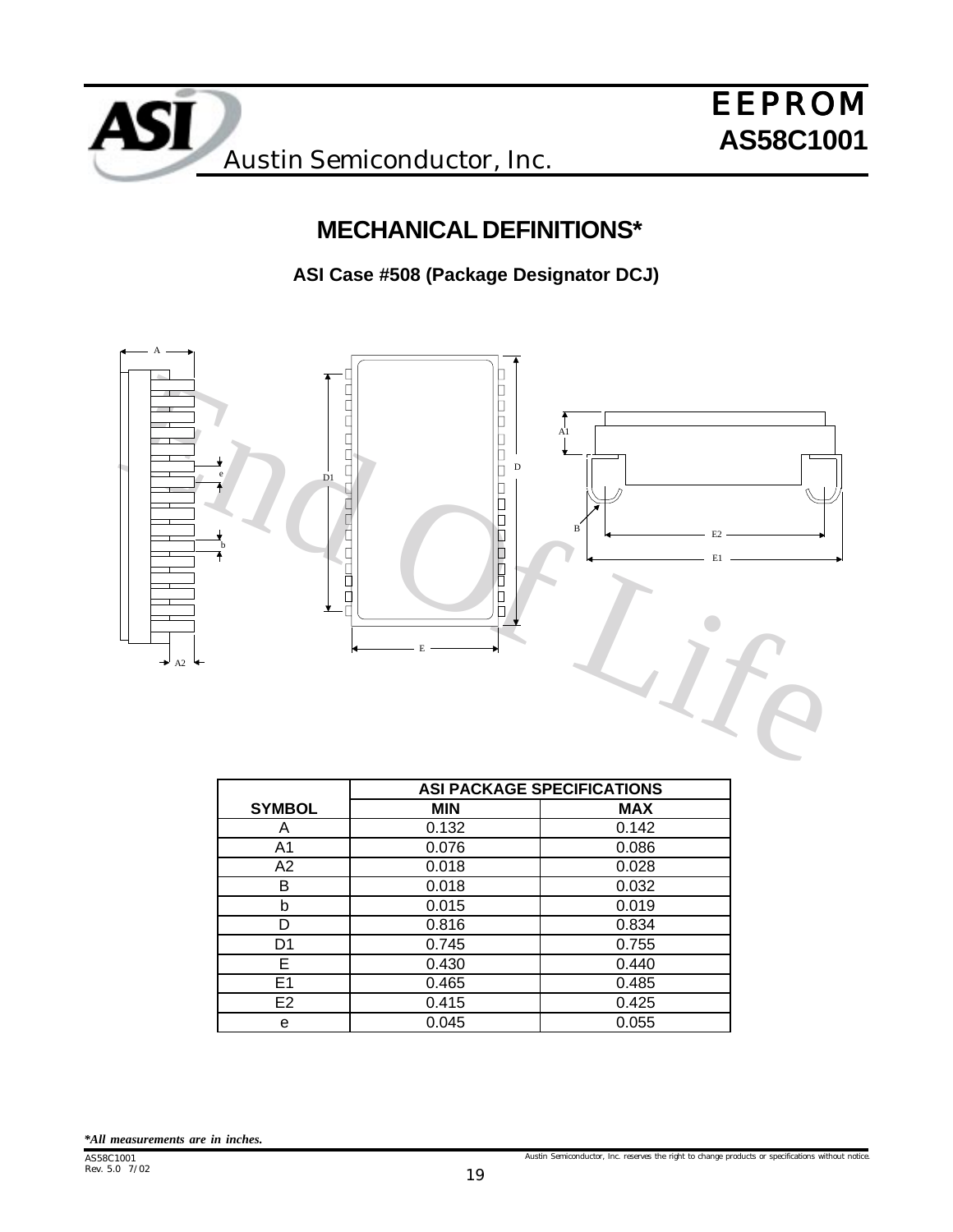

# **MECHANICAL DEFINITIONS\***

**ASI Case #508 (Package Designator DCJ)**



|                | <b>ASI PACKAGE SPECIFICATIONS</b> |            |  |  |
|----------------|-----------------------------------|------------|--|--|
| <b>SYMBOL</b>  | <b>MIN</b>                        | <b>MAX</b> |  |  |
| Α              | 0.132                             | 0.142      |  |  |
| A1             | 0.076                             | 0.086      |  |  |
| A2             | 0.018                             | 0.028      |  |  |
| в              | 0.018                             | 0.032      |  |  |
| b              | 0.015                             | 0.019      |  |  |
|                | 0.816                             | 0.834      |  |  |
| D1             | 0.745                             | 0.755      |  |  |
| Е              | 0.430                             | 0.440      |  |  |
| E <sub>1</sub> | 0.465                             | 0.485      |  |  |
| E2             | 0.415                             | 0.425      |  |  |
| е              | 0.045                             | 0.055      |  |  |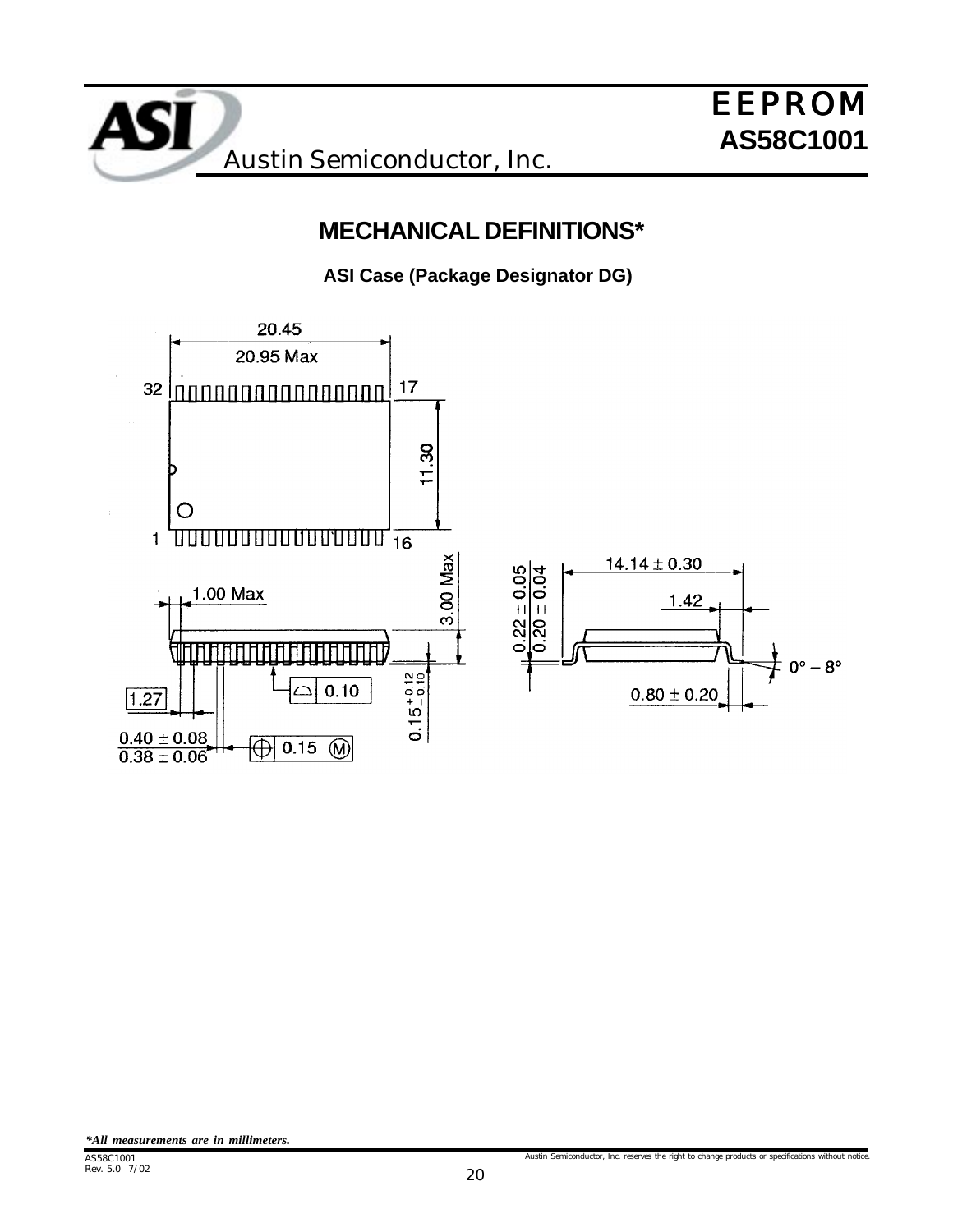

# **MECHANICAL DEFINITIONS\***

**ASI Case (Package Designator DG)**



*\*All measurements are in millimeters.*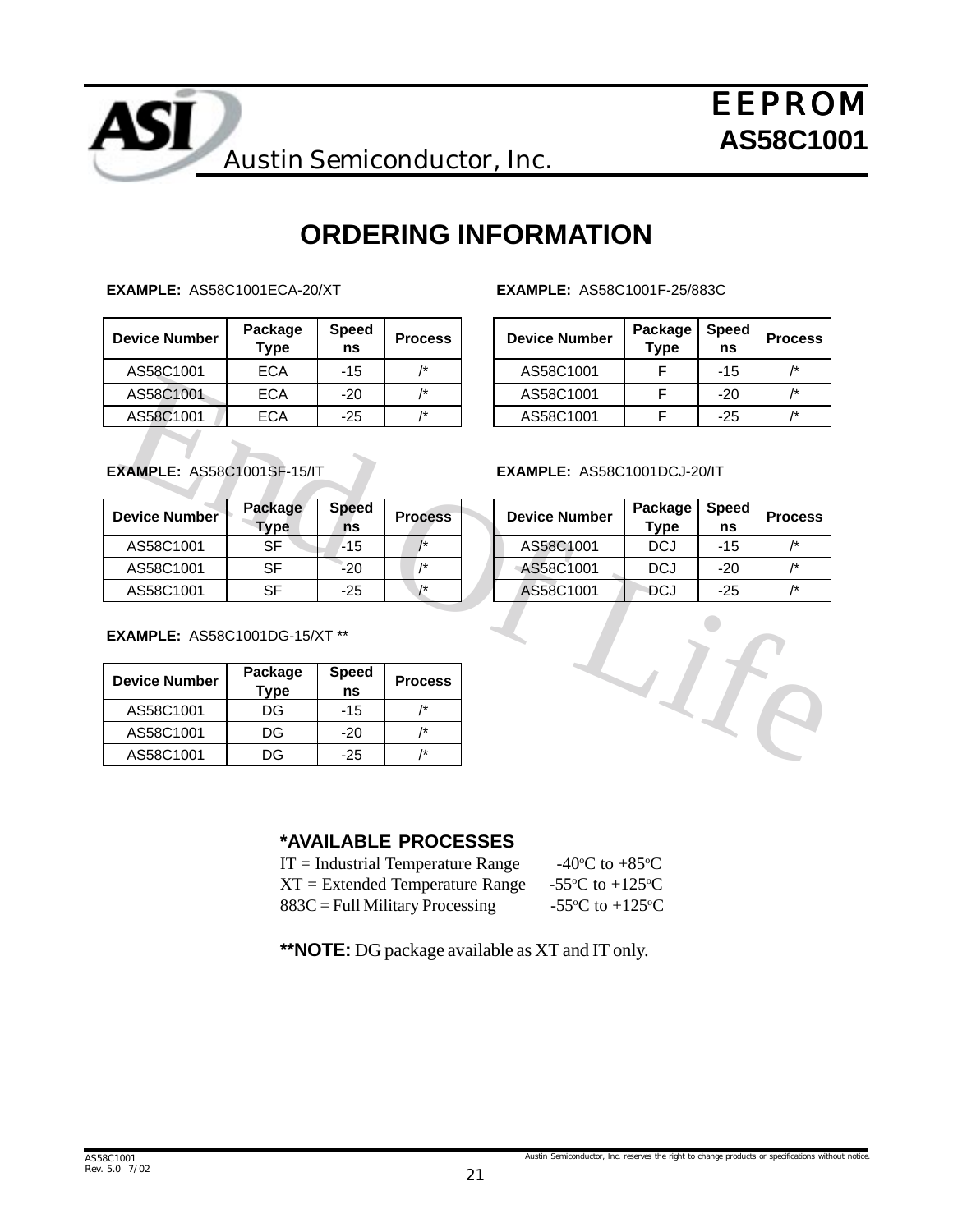

# **ORDERING INFORMATION**

**EXAMPLE:** AS58C1001ECA-20/XT

| <b>Device Number</b> | Package<br>Type | <b>Speed</b><br>ns | <b>Process</b> | <b>Device Number</b> | Package<br><b>Type</b> | <b>Speed</b><br>ns | Proce           |
|----------------------|-----------------|--------------------|----------------|----------------------|------------------------|--------------------|-----------------|
| AS58C1001            | ECA             | -15                | /*             | AS58C1001            |                        | -15                | $\overline{1*}$ |
| AS58C1001            | <b>ECA</b>      | $-20$              | /*             | AS58C1001            |                        | -20                | $\overline{1*}$ |
| AS58C1001            | <b>ECA</b>      | $-25$              | /*             | AS58C1001            |                        | -25                | $\overline{1*}$ |

**EXAMPLE:** AS58C1001F-25/883C

| Process        | <b>Device Number</b> | Package<br><b>Type</b> | <b>Speed</b><br>ns | <b>Process</b> |
|----------------|----------------------|------------------------|--------------------|----------------|
| 1*             | AS58C1001            |                        | $-15$              | 1*             |
| $\overline{1}$ | AS58C1001            |                        | $-20$              |                |
| $\overline{1}$ | AS58C1001            |                        | $-25$              | /*             |

**EXAMPLE:** AS58C1001SF-15/IT

| Device Number | Package<br>'ype | <b>Speed</b><br>ns | <b>Process</b>  | <b>Device Number</b> | Package<br>Tvpe | <b>Speed</b><br>ns | <b>Proce</b>    |
|---------------|-----------------|--------------------|-----------------|----------------------|-----------------|--------------------|-----------------|
| AS58C1001     | SF              | $-15$              |                 | AS58C1001            | DCJ             | -15                | $\overline{1*}$ |
| AS58C1001     | SF              | $-20$              |                 | AS58C1001            | DCJ             | -20                | $\overline{1*}$ |
| AS58C1001     | SF              | $-25$              | $\overline{1*}$ | AS58C1001            | DCJ             | -25                | $\overline{1*}$ |

**EXAMPLE:** AS58C1001DG-15/XT \*\*

| <b>Device Number</b> | Package<br>Type | <b>Speed</b><br>ns | <b>Process</b> |
|----------------------|-----------------|--------------------|----------------|
| AS58C1001            | DG              | $-15$              |                |
| AS58C1001            | DG              | $-20$              | /*             |
| AS58C1001            | DG              | -25                | /*             |

#### **EXAMPLE:** AS58C1001DCJ-20/IT

| <b>Process</b> | <b>Device Number</b> | Package<br><b>Type</b> | <b>Speed</b><br>ns | <b>Process</b> |
|----------------|----------------------|------------------------|--------------------|----------------|
|                | AS58C1001            | DCJ                    | $-15$              | /*             |
| $\overline{1}$ | AS58C1001            | <b>DCJ</b>             | $-20$              | /*             |
| $1+$           | AS58C1001            | DCJ                    | $-25$              | /*             |



#### **\*AVAILABLE PROCESSES**

| $IT = Industrial Temperature Range$ | -40 $\rm{^{\circ}C}$ to +85 $\rm{^{\circ}C}$  |
|-------------------------------------|-----------------------------------------------|
| $XT = Extended Temperature Range$   | -55 °C to +125 °C                             |
| $883C =$ Full Military Processing   | -55 $\rm{^{\circ}C}$ to +125 $\rm{^{\circ}C}$ |

**\*\*NOTE:** DG package available as XT and IT only.